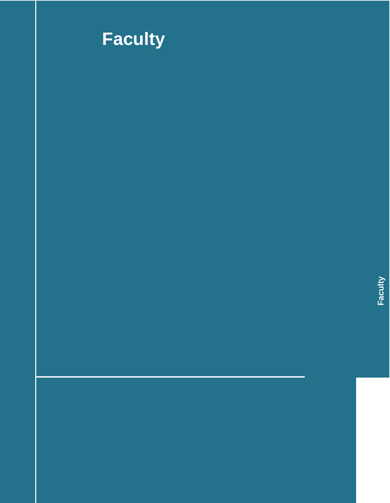

# **Faculty**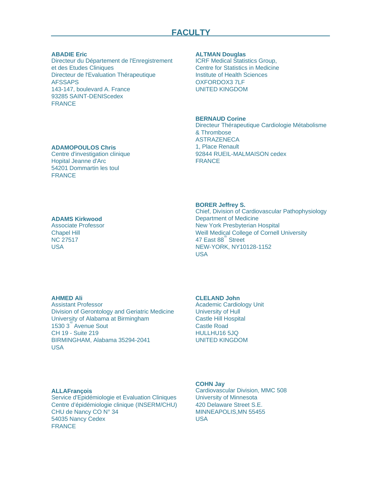#### **ABADIE Eric**

Directeur du Département de l'Enregistrement et des Etudes Cliniques Directeur de l'Evaluation Thérapeutique AFSSAPS 143-147, boulevard A. France 93285 SAINT-DENIScedex FRANCE

**ADAMOPOULOS Chris** Centre d'investigation clinique Hopital Jeanne d'Arc 54201 Dommartin les toul

# **FRANCE**

# **ADAMS Kirkwood**

Associate Professor Chapel Hill NC 27517 USA

# **ALTMAN Douglas**

ICRF Medical Statistics Group, Centre for Statistics in Medicine Institute of Health Sciences OXFORDOX3 7LF UNITED KINGDOM

# **BERNAUD Corine**

Directeur Thérapeutique Cardiologie Métabolisme & Thrombose ASTRAZENECA 1, Place Renault 92844 RUEIL-MALMAISON cedex FRANCE

# **BORER Jeffrey S.**

Chief, Division of Cardiovascular Pathophysiology Department of Medicine New York Presbyterian Hospital Weill Medical College of Cornell University 47 East 88<sup>th</sup> Street NEW-YORK, NY10128-1152 USA

# **AHMED Ali**

Assistant Professor Division of Gerontology and Geriatric Medicine University of Alabama at Birmingham 1530 3<sup>rd</sup> Avenue Sout CH 19 - Suite 219 BIRMINGHAM, Alabama 35294-2041 USA

# **CLELAND John**

Academic Cardiology Unit University of Hull Castle Hill Hospital Castle Road HULLHU16 5JQ UNITED KINGDOM

#### **ALLAFrançois**

Service d'Epidémiologie et Evaluation Cliniques Centre d'épidémiologie clinique (INSERM/CHU) CHU de Nancy CO N° 34 54035 Nancy Cedex FRANCE

#### **COHN Jay**

Cardiovascular Division, MMC 508 University of Minnesota 420 Delaware Street S.E. MINNEAPOLIS,MN 55455 USA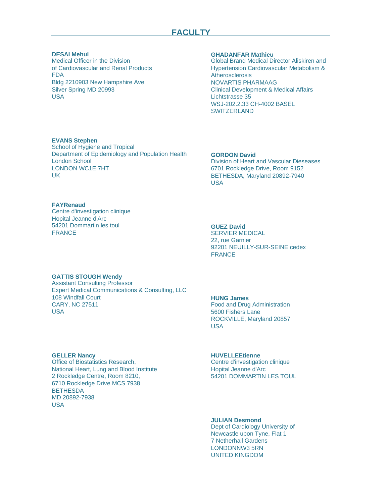# **FACULTY**

#### **DESAI Mehul**

Medical Officer in the Division of Cardiovascular and Renal Products FDA Bldg 2210903 New Hampshire Ave Silver Spring MD 20993 USA

#### **GHADANFAR Mathieu**

Global Brand Medical Director Aliskiren and Hypertension Cardiovascular Metabolism & Atherosclerosis NOVARTIS PHARMAAG Clinical Development & Medical Affairs Lichtstrasse 35 WSJ-202.2.33 CH-4002 BASEL SWITZERI AND

# **EVANS Stephen**

School of Hygiene and Tropical Department of Epidemiology and Population Health London School LONDON WC1E 7HT UK

#### **GORDON David**

Division of Heart and Vascular Dieseases 6701 Rockledge Drive, Room 9152 BETHESDA, Maryland 20892-7940 USA

# **FAYRenaud**

Centre d'investigation clinique Hopital Jeanne d'Arc 54201 Dommartin les toul FRANCE

# **GUEZ David**

SERVIER MEDICAL 22, rue Garnier 92201 NEUILLY-SUR-SEINE cedex FRANCE

#### **GATTIS STOUGH Wendy**

Assistant Consulting Professor Expert Medical Communications & Consulting, LLC 108 Windfall Court CARY, NC 27511 USA

# **HUNG James**

Food and Drug Administration 5600 Fishers Lane ROCKVILLE, Maryland 20857 USA

# **GELLER Nancy**

Office of Biostatistics Research, National Heart, Lung and Blood Institute 2 Rockledge Centre, Room 8210, 6710 Rockledge Drive MCS 7938 **BETHESDA** MD 20892-7938 USA

# **HUVELLEEtienne**

Centre d'investigation clinique Hopital Jeanne d'Arc 54201 DOMMARTIN LES TOUL

# **JULIAN Desmond**

Dept of Cardiology University of Newcastle upon Tyne, Flat 1 7 Netherhall Gardens LONDONNW3 5RN UNITED KINGDOM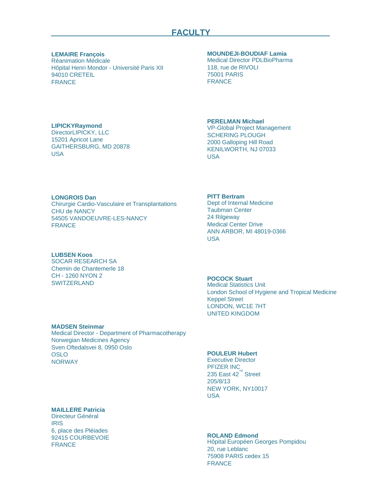# **LEMAIRE François**

Réanimation Médicale Hôpital Henri Mondor - Université Paris XII 94010 CRETEIL FRANCE

#### **MOUNDEJI-BOUDIAF Lamia**

Medical Director PDLBioPharma 118, rue de RIVOLI 75001 PARIS FRANCE

# **LIPICKYRaymond**

DirectorLIPICKY, LLC 15201 Apricot Lane GAITHERSBURG, MD 20878 USA

#### **PERELMAN Michael**

VP-Global Project Management SCHERING PLOUGH 2000 Galloping Hill Road KENILWORTH, NJ 07033 **USA** 

# **LONGROIS Dan**

Chirurgie Cardio-Vasculaire et Transplantations CHU de NANCY 54505 VANDOEUVRE-LES-NANCY FRANCE

#### **LUBSEN Koos**

SOCAR RESEARCH SA Chemin de Chantemerle 18 CH - 1260 NYON 2 **SWITZERLAND** 

#### **PITT Bertram**

Dept of Internal Medicine Taubman Center 24 Rilgeway Medical Center Drive ANN ARBOR, MI 48019-0366 USA

# **POCOCK Stuart**

Medical Statistics Unit London School of Hygiene and Tropical Medicine Keppel Street LONDON, WC1E 7HT UNITED KINGDOM

#### **MADSEN Steinmar**

Medical Director - Department of Pharmacotherapy Norwegian Medicines Agency Sven Oftedalsvei 8, 0950 Oslo OSLO NORWAY

#### **MAILLERE Patricia**

Directeur Général IRIS 6, place des Pléiades 92415 COURBEVOIE FRANCE

# **POULEUR Hubert**

Executive Director PFIZER INC 235 East 42<sup>nd</sup> Street 205/8/13 NEW YORK, NY10017 USA

# **ROLAND Edmond**

Hôpital Européen Georges Pompidou 20, rue Leblanc 75908 PARIS cedex 15 FRANCE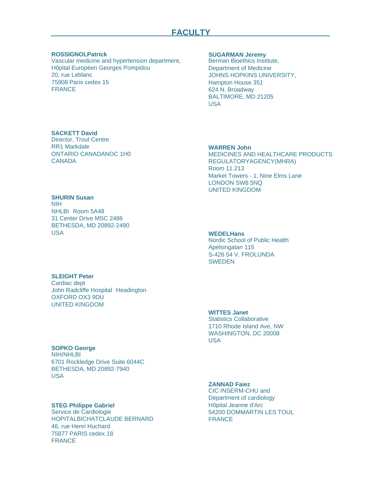#### **ROSSIGNOLPatrick**

Vascular medicine and hypertension department, Hôpital Européen Georges Pompidou 20, rue Leblanc 75908 Paris cedex 15 FRANCE

#### **SUGARMAN Jeremy**

Berman Bioethics Institute, Department of Medicine JOHNS HOPKINS UNIVERSITY, Hampton House 351 624 N. Broadway BALTIMORE, MD 21205 USA

# **WARREN John**

MEDICINES AND HEALTHCARE PRODUCTS REGULATORYAGENCY(MHRA) Room 11.213 Market Towers - 1, Nine Elms Lane LONDON SW8 5NQ UNITED KINGDOM

#### **WEDELHans**

Nordic School of Public Health Apelsingatan 115 S-426 54 V. FROLUNDA **SWEDEN** 

# **SLEIGHT Peter**

Cardiac dept John Radcliffe Hospital Headington OXFORD OX3 9DU UNITED KINGDOM

# **WITTES Janet**

Statistics Collaborative 1710 Rhode Island Ave, NW WASHINGTON, DC 20008 USA

# **SOPKO George**

NIH/NHLBI 6701 Rockledge Drive Suite 6044C BETHESDA, MD 20892-7940 USA

# **STEG Philippe Gabriel**

Service de Cardiologie HOPITALBICHATCLAUDE BERNARD 46, rue Henri Huchard 75877 PARIS cedex 18 FRANCE

# **ZANNAD Faiez**

CIC INSERM-CHU and Department of cardiology Hôpital Jeanne d'Arc 54200 DOMMARTIN LES TOUL FRANCE

**SHURIN Susan** NIH NHLBI Room 5A48 31 Center Drive MSC 2486 BETHESDA, MD 20892-2490 USA

ONTARIO CANADANOC 1H0

**CANADA** 

**SACKETT David** Director, Trout Centre RR1 Markdale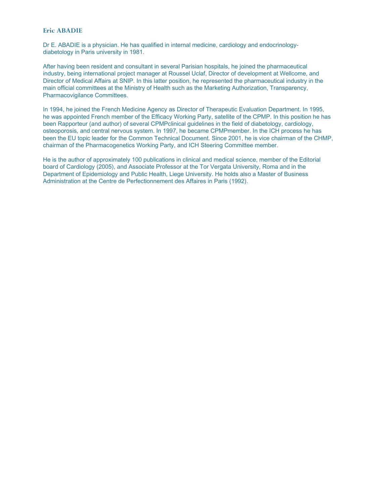# **Eric ABADIE**

Dr E. ABADIE is a physician. He has qualified in internal medicine, cardiology and endocrinologydiabetology in Paris university in 1981.

After having been resident and consultant in several Parisian hospitals, he joined the pharmaceutical industry, being international project manager at Roussel Uclaf, Director of development at Wellcome, and Director of Medical Affairs at SNIP. In this latter position, he represented the pharmaceutical industry in the main official committees at the Ministry of Health such as the Marketing Authorization, Transparency, Pharmacovigilance Committees.

In 1994, he joined the French Medicine Agency as Director of Therapeutic Evaluation Department. In 1995, he was appointed French member of the Efficacy Working Party, satellite of the CPMP. In this position he has been Rapporteur (and author) of several CPMPclinical guidelines in the field of diabetology, cardiology, osteoporosis, and central nervous system. In 1997, he became CPMPmember. In the ICH process he has been the EU topic leader for the Common Technical Document. Since 2001, he is vice chairman of the CHMP, chairman of the Pharmacogenetics Working Party, and ICH Steering Committee member.

He is the author of approximately 100 publications in clinical and medical science, member of the Editorial board of Cardiology (2005), and Associate Professor at the Tor Vergata University, Roma and in the Department of Epidemiology and Public Health, Liege University. He holds also a Master of Business Administration at the Centre de Perfectionnement des Affaires in Paris (1992).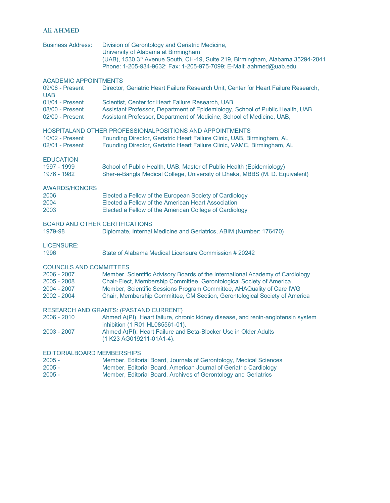# **Ali AHMED**

| <b>Business Address:</b>                                                                   | Division of Gerontology and Geriatric Medicine,<br>University of Alabama at Birmingham<br>(UAB), 1530 3 <sup>rd</sup> Avenue South, CH-19, Suite 219, Birmingham, Alabama 35294-2041<br>Phone: 1-205-934-9632; Fax: 1-205-975-7099; E-Mail: aahmed@uab.edu                                                   |
|--------------------------------------------------------------------------------------------|--------------------------------------------------------------------------------------------------------------------------------------------------------------------------------------------------------------------------------------------------------------------------------------------------------------|
| <b>ACADEMIC APPOINTMENTS</b><br>09/06 - Present                                            | Director, Geriatric Heart Failure Research Unit, Center for Heart Failure Research,                                                                                                                                                                                                                          |
| <b>UAB</b><br>01/04 - Present<br>08/00 - Present<br>02/00 - Present                        | Scientist, Center for Heart Failure Research, UAB<br>Assistant Professor, Department of Epidemiology, School of Public Health, UAB<br>Assistant Professor, Department of Medicine, School of Medicine, UAB,                                                                                                  |
| 10/02 - Present<br>02/01 - Present                                                         | HOSPITALAND OTHER PROFESSIONALPOSITIONS AND APPOINTMENTS<br>Founding Director, Geriatric Heart Failure Clinic, UAB, Birmingham, AL<br>Founding Director, Geriatric Heart Failure Clinic, VAMC, Birmingham, AL                                                                                                |
| <b>EDUCATION</b><br>1997 - 1999<br>1976 - 1982                                             | School of Public Health, UAB, Master of Public Health (Epidemiology)<br>Sher-e-Bangla Medical College, University of Dhaka, MBBS (M. D. Equivalent)                                                                                                                                                          |
| <b>AWARDS/HONORS</b><br>2006<br>2004<br>2003                                               | Elected a Fellow of the European Society of Cardiology<br>Elected a Fellow of the American Heart Association<br>Elected a Fellow of the American College of Cardiology                                                                                                                                       |
| <b>BOARD AND OTHER CERTIFICATIONS</b><br>1979-98                                           | Diplomate, Internal Medicine and Geriatrics, ABIM (Number: 176470)                                                                                                                                                                                                                                           |
| <b>LICENSURE:</b><br>1996                                                                  | State of Alabama Medical Licensure Commission # 20242                                                                                                                                                                                                                                                        |
| <b>COUNCILS AND COMMITTEES</b><br>2006 - 2007<br>2005 - 2008<br>2004 - 2007<br>2002 - 2004 | Member, Scientific Advisory Boards of the International Academy of Cardiology<br>Chair-Elect, Membership Committee, Gerontological Society of America<br>Member, Scientific Sessions Program Committee, AHAQuality of Care IWG<br>Chair, Membership Committee, CM Section, Gerontological Society of America |
| 2006 - 2010                                                                                | <b>RESEARCH AND GRANTS: (PASTAND CURRENT)</b><br>Ahmed A(PI). Heart failure, chronic kidney disease, and renin-angiotensin system<br>inhibition (1 R01 HL085561-01).                                                                                                                                         |
| 2003 - 2007                                                                                | Ahmed A(PI): Heart Failure and Beta-Blocker Use in Older Adults<br>(1 K23 AG019211-01A1-4).                                                                                                                                                                                                                  |
| <b>EDITORIALBOARD MEMBERSHIPS</b><br>$2005 -$<br>$2005 -$                                  | Member, Editorial Board, Journals of Gerontology, Medical Sciences<br>Member, Editorial Board, American Journal of Geriatric Cardiology                                                                                                                                                                      |

2005 - Member, Editorial Board, Archives of Gerontology and Geriatrics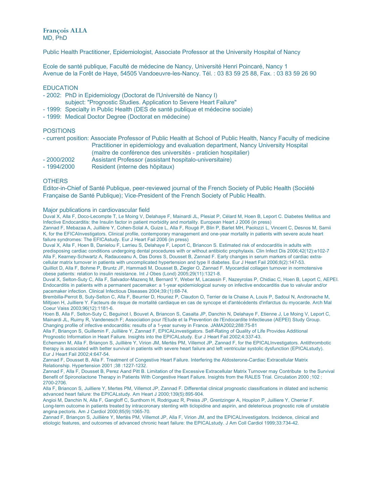**François ALLA** MD, PhD

Public Health Practitioner, Epidemiologist, Associate Professor at the University Hospital of Nancy

Ecole de santé publique, Faculté de médecine de Nancy, Université Henri Poincaré, Nancy 1 Avenue de la Forêt de Haye, 54505 Vandoeuvre-les-Nancy. Tél. : 03 83 59 25 88, Fax. : 03 83 59 26 90

# **EDUCATION**

- 2002: PhD in Epidemiology (Doctorat de l'Université de Nancy I)
- subject: "Prognostic Studies. Application to Severe Heart Failure"
- 1999: Specialty in Public Health (DES de santé publique et médecine sociale)
- 1999: Medical Doctor Degree (Doctorat en médecine)

#### POSITIONS

- current position: Associate Professor of Public Health at School of Public Health, Nancy Faculty of medicine Practitioner in epidemiology and evaluation department, Nancy University Hospital (maitre de conférence des universités - praticien hospitalier)
- 2000/2002 Assistant Professor (assistant hospitalo-universitaire)
- 1994/2000 Resident (interne des hôpitaux)

#### **OTHERS**

Editor-in-Chief of Santé Publique, peer-reviewed journal of the French Society of Public Health (Société Française de Santé Publique); Vice-President of the French Society of Public Health.

#### Major publications in cardiovascular field

Duval X, Alla F, Doco-Lecompte T, Le Moing V, Delahaye F, Mainardi JL, Plesiat P, Célard M, Hoen B, Leport C. Diabetes Mellitus and Infective Endocarditis: the Insulin factor in patient morbidity and mortality. European Heart J 2006 (in press)

Zannad F, Mebazaa A, Juillière Y, Cohen-Solal A, Guize L, Alla F, Rougé P, Blin P, Barlet MH, Paolozzi L, Vincent C, Desnos M, Samii K, for the EFICAInvestigators. Clinical profile, contemporary management and one-year mortality in patients with severe acute heart failure syndromes: The EFICAstudy. Eur J Heart Fail 2006 (in press)

Duval X, Alla F, Hoen B, Danielou F, Larrieu S, Delahaye F, Leport C, Briancon S. Estimated risk of endocarditis in adults with predisposing cardiac conditions undergoing dental procedures with or without antibiotic prophylaxis. Clin Infect Dis 2006;42(12):e102-7 Alla F, Kearney-Schwartz A, Radauceanu A, Das Dores S, Dousset B, Zannad F. Early changes in serum markers of cardiac extracellular matrix turnover in patients with uncomplicated hypertension and type II diabetes. Eur J Heart Fail 2006;8(2):147-53. Quilliot D, Alla F, Bohme P, Bruntz JF, Hammadi M, Dousset B, Ziegler O, Zannad F. Myocardial collagen turnover in normotensive obese patients: relation to insulin resistance. Int J Obes (Lond) 2005;29(11):1321-8.

Duval X, Selton-Suty C, Alla F, Salvador-Mazenq M, Bernard Y, Weber M, Lacassin F, Nazeyrolas P, Chidiac C, Hoen B, Leport C, AEPEI. Endocarditis in patients with a permanent pacemaker: a 1-year epidemiological survey on infective endocarditis due to valvular and/or pacemaker infection. Clinical Infectious Diseases 2004;39:(1):68-74.

Brembilla-Perrot B, Suty-Selton C, Alla F, Beurrier D, Houriez P, Claudon O, Terrier de la Chaise A, Louis P, Sadoul N, Andronache M, Miltjoen H, Juilliere Y. Facteurs de risque de mortalité cardiaque en cas de syncope et d'antécédents d'infarctus du myocarde. Arch Mal Coeur Vaiss 2003;96(12):1181-6.

Hoen B, Alla F, Selton-Suty C, Beguinot I, Bouvet A, Briancon S, Casalta JP, Danchin N, Delahaye F, Etienne J, Le Moing V, Leport C, Mainardi JL, Ruimy R, Vandenesch F; Association pour l'Etude et la Prevention de l'Endocardite Infectieuse (AEPEI) Study Group. Changing profile of infective endocarditis: results of a 1-year survey in France. JAMA2002;288:75-81

Alla F, Briançon S, Guillemin F, Juillière Y, Zannad F, EPICALinvestigators. Self-Rating of Quality of Life Provides Additional Prognostic Information in Heart Failure. Insights into the EPICALstudy. Eur J Heart Fail 2002;4:337-43.

Echemann M, Alla F, Briançon S, Juillière Y, Virion JM, Mertès PM, Villemot JP, Zannad F, for the EPICALInvestigators. Antithrombotic therapy is associated with better survival in patients with severe heart failure and left ventricular systolic dysfunction (EPICALstudy). Eur J Heart Fail 2002;4:647-54.

Zannad F, Dousset B, Alla F. Treatment of Congestive Heart Failure. Interfering the Aldosterone-Cardiac Extracellular Matrix Relationship. Hypertension 2001 ;38 :1227-1232.

Zannad F, Alla F, Dousset B, Perez Aand Pitt B. Limitation of the Excessive Extracellular Matrix Turnover may Contribute to the Survival Benefit of Spironolactone Therapy in Patients With Congestive Heart Failure. Insights from the RALES Trial. Circulation 2000 ;102 : 2700-2706.

Alla F, Briancon S, Juilliere Y, Mertes PM, Villemot JP, Zannad F. Differential clinical prognostic classifications in dilated and ischemic advanced heart failure: the EPICALstudy. Am Heart J 2000;139(5):895-904.

Angioi M, Danchin N, Alla F, Gangloff C, Sunthorn H, Rodriguez R, Preiss JP, Grentzinger A, Houplon P, Juilliere Y, Cherrier F. Long-term outcome in patients treated by intracoronary stenting with ticlopidine and aspirin, and deleterious prognostic role of unstable angina pectoris. Am J Cardiol 2000;85(9):1065-70.

Zannad F, Briançon S, Juillière Y, Mertès PM, Villemot JP, Alla F, Virion JM, and the EPICALInvestigators. Incidence, clinical and etiologic features, and outcomes of advanced chronic heart failure: the EPICALstudy. J Am Coll Cardiol 1999;33:734-42.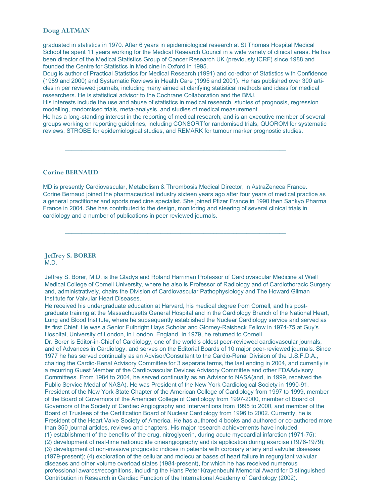# **Doug ALTMAN**

graduated in statistics in 1970. After 6 years in epidemiological research at St Thomas Hospital Medical School he spent 11 years working for the Medical Research Council in a wide variety of clinical areas. He has been director of the Medical Statistics Group of Cancer Research UK (previously ICRF) since 1988 and founded the Centre for Statistics in Medicine in Oxford in 1995.

Doug is author of Practical Statistics for Medical Research (1991) and co-editor of Statistics with Confidence (1989 and 2000) and Systematic Reviews in Health Care (1995 and 2001). He has published over 300 articles in per reviewed journals, including many aimed at clarifying statistical methods and ideas for medical researchers. He is statistical advisor to the Cochrane Collaboration and the BMJ.

His interests include the use and abuse of statistics in medical research, studies of prognosis, regression modelling, randomised trials, meta-analysis, and studies of medical measurement.

 $\_$  , and the set of the set of the set of the set of the set of the set of the set of the set of the set of the set of the set of the set of the set of the set of the set of the set of the set of the set of the set of th

He has a long-standing interest in the reporting of medical research, and is an executive member of several groups working on reporting guidelines, including CONSORTfor randomised trials, QUOROM for systematic reviews, STROBE for epidemiological studies, and REMARK for tumour marker prognostic studies.

#### **Corine BERNAUD**

MD is presently Cardiovascular, Metabolism & Thrombosis Medical Director, in AstraZeneca France. Corine Bernaud joined the pharmaceutical industry sixteen years ago after four years of medical practice as a general practitioner and sports medicine specialist. She joined Pfizer France in 1990 then Sankyo Pharma France in 2004. She has contributed to the design, monitoring and steering of several clinical trials in cardiology and a number of publications in peer reviewed journals.

 $\_$  , and the set of the set of the set of the set of the set of the set of the set of the set of the set of the set of the set of the set of the set of the set of the set of the set of the set of the set of the set of th

#### **Jeffrey S. BORER** M.D.

Jeffrey S. Borer, M.D. is the Gladys and Roland Harriman Professor of Cardiovascular Medicine at Weill Medical College of Cornell University, where he also is Professor of Radiology and of Cardiothoracic Surgery and, administratively, chairs the Division of Cardiovascular Pathophysiology and The Howard Gilman Institute for Valvular Heart Diseases.

He received his undergraduate education at Harvard, his medical degree from Cornell, and his postgraduate training at the Massachusetts General Hospital and in the Cardiology Branch of the National Heart, Lung and Blood Institute, where he subsequently established the Nuclear Cardiology service and served as its first Chief. He was a Senior Fulbright Hays Scholar and Glorney-Raisbeck Fellow in 1974-75 at Guy's Hospital, University of London, in London, England. In 1979, he returned to Cornell.

Dr. Borer is Editor-in-Chief of Cardiology, one of the world's oldest peer-reviewed cardiovascular journals, and of Advances in Cardiology, and serves on the Editorial Boards of 10 major peer-reviewed journals. Since 1977 he has served continually as an Advisor/Consultant to the Cardio-Renal Division of the U.S.F.D.A., chairing the Cardio-Renal Advisory Committee for 3 separate terms, the last ending in 2004, and currently is a recurring Guest Member of the Cardiovascular Devices Advisory Committee and other FDAAdvisory Committees. From 1984 to 2004, he served continually as an Advisor to NASA(and, in 1999, received the Public Service Medal of NASA). He was President of the New York Cardiological Society in 1990-91, President of the New York State Chapter of the American College of Cardiology from 1997 to 1999, member of the Board of Governors of the American College of Cardiology from 1997-2000, member of Board of Governors of the Society of Cardiac Angiography and Interventions from 1995 to 2000, and member of the Board of Trustees of the Certification Board of Nuclear Cardiology from 1996 to 2002. Currently, he is President of the Heart Valve Society of America. He has authored 4 books and authored or co-authored more than 350 journal articles, reviews and chapters. His major research achievements have included (1) establishment of the benefits of the drug, nitroglycerin, during acute myocardial infarction (1971-75); (2) development of real-time radionuclide cineangiography and its application during exercise (1976-1979); (3) development of non-invasive prognostic indices in patients with coronary artery and valvular diseases (1979-present); (4) exploration of the cellular and molecular bases of heart failure in regurgitant valvular diseases and other volume overload states (1984-present), for which he has received numerous professional awards/recognitions, including the Hans Peter Krayenbeuhl Memorial Award for Distinguished Contribution in Research in Cardiac Function of the International Academy of Cardiology (2002).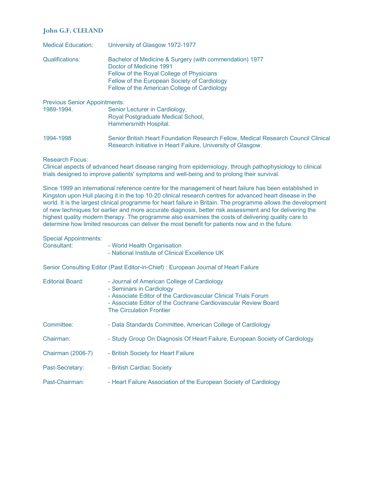# **John G.F. CLELAND**

| <b>Medical Education:</b>    | University of Glasgow 1972-1977                                                                                                                                                                                                 |
|------------------------------|---------------------------------------------------------------------------------------------------------------------------------------------------------------------------------------------------------------------------------|
| Qualifications:              | Bachelor of Medicine & Surgery (with commendation) 1977<br>Doctor of Medicine 1991<br>Fellow of the Royal College of Physicians<br>Fellow of the European Society of Cardiology<br>Fellow of the American College of Cardiology |
| Pravious Senior Annointments |                                                                                                                                                                                                                                 |

| <u>I ICVIOUS OCHIOI / IDDOIHIIICHIS.</u> |                                                                                                                                                    |
|------------------------------------------|----------------------------------------------------------------------------------------------------------------------------------------------------|
| 1989-1994.                               | Senior Lecturer in Cardiology,<br>Royal Postgraduate Medical School,<br>Hammersmith Hospital.                                                      |
| 1994-1998                                | Senior British Heart Foundation Research Fellow, Medical Research Council Clinical<br>Research Initiative in Heart Failure, University of Glasgow. |

#### Research Focus:

Clinical aspects of advanced heart disease ranging from epidemiology, through pathophysiology to clinical trials designed to improve patients' symptoms and well-being and to prolong their survival.

Since 1999 an international reference centre for the management of heart failure has been established in Kingston upon Hull placing it in the top 10-20 clinical research centres for advanced heart disease in the world. It is the largest clinical programme for heart failure in Britain. The programme allows the development of new techniques for earlier and more accurate diagnosis, better risk assessment and for delivering the highest quality modern therapy. The programme also examines the costs of delivering quality care to determine how limited resources can deliver the most benefit for patients now and in the future.

# Special Appointments:

| Consultant:             | - World Health Organisation<br>- National Institute of Clinical Excellence UK                                                                                                                               |
|-------------------------|-------------------------------------------------------------------------------------------------------------------------------------------------------------------------------------------------------------|
|                         | Senior Consulting Editor (Past Editor-in-Chief) : European Journal of Heart Failure                                                                                                                         |
| <b>Editorial Board:</b> | - Journal of American College of Cardiology<br>- Seminars in Cardiology<br>- Associate Editor of the Cardiovascular Clinical Trials Forum<br>- Associate Editor of the Cochrane Cardiovascular Review Board |

- The Circulation Frontier
- Committee: Data Standards Committee, American College of Cardiology Chairman: - Study Group On Diagnosis Of Heart Failure, European Society of Cardiology
- Chairman (2006-7) British Society for Heart Failure
- Past-Secretary: British Cardiac Society
- Past-Chairman: Heart Failure Association of the European Society of Cardiology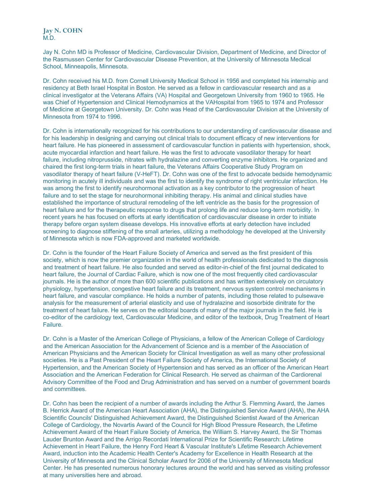**Jay N. COHN**  $M.$ D.

Jay N. Cohn MD is Professor of Medicine, Cardiovascular Division, Department of Medicine, and Director of the Rasmussen Center for Cardiovascular Disease Prevention, at the University of Minnesota Medical School, Minneapolis, Minnesota.

Dr. Cohn received his M.D. from Cornell University Medical School in 1956 and completed his internship and residency at Beth Israel Hospital in Boston. He served as a fellow in cardiovascular research and as a clinical investigator at the Veterans Affairs (VA) Hospital and Georgetown University from 1960 to 1965. He was Chief of Hypertension and Clinical Hemodynamics at the VAHospital from 1965 to 1974 and Professor of Medicine at Georgetown University. Dr. Cohn was Head of the Cardiovascular Division at the University of Minnesota from 1974 to 1996.

Dr. Cohn is internationally recognized for his contributions to our understanding of cardiovascular disease and for his leadership in designing and carrying out clinical trials to document efficacy of new interventions for heart failure. He has pioneered in assessment of cardiovascular function in patients with hypertension, shock, acute myocardial infarction and heart failure. He was the first to advocate vasodilator therapy for heart failure, including nitroprusside, nitrates with hydralazine and converting enzyme inhibitors. He organized and chaired the first long-term trials in heart failure, the Veterans Affairs Cooperative Study Program on vasodilator therapy of heart failure (V-HeFT). Dr. Cohn was one of the first to advocate bedside hemodynamic monitoring in acutely ill individuals and was the first to identify the syndrome of right ventricular infarction. He was among the first to identify neurohormonal activation as a key contributor to the progression of heart failure and to set the stage for neurohormonal inhibiting therapy. His animal and clinical studies have established the importance of structural remodeling of the left ventricle as the basis for the progression of heart failure and for the therapeutic response to drugs that prolong life and reduce long-term morbidity. In recent years he has focused on efforts at early identification of cardiovascular disease in order to initiate therapy before organ system disease develops. His innovative efforts at early detection have included screening to diagnose stiffening of the small arteries, utilizing a methodology he developed at the University of Minnesota which is now FDA-approved and marketed worldwide.

Dr. Cohn is the founder of the Heart Failure Society of America and served as the first president of this society, which is now the premier organization in the world of health professionals dedicated to the diagnosis and treatment of heart failure. He also founded and served as editor-in-chief of the first journal dedicated to heart failure, the Journal of Cardiac Failure, which is now one of the most frequently cited cardiovascular journals. He is the author of more than 600 scientific publications and has written extensively on circulatory physiology, hypertension, congestive heart failure and its treatment, nervous system control mechanisms in heart failure, and vascular compliance. He holds a number of patents, including those related to pulsewave analysis for the measurement of arterial elasticity and use of hydralazine and isosorbide dinitrate for the treatment of heart failure. He serves on the editorial boards of many of the major journals in the field. He is co-editor of the cardiology text, Cardiovascular Medicine, and editor of the textbook, Drug Treatment of Heart Failure.

Dr. Cohn is a Master of the American College of Physicians, a fellow of the American College of Cardiology and the American Association for the Advancement of Science and is a member of the Association of American Physicians and the American Society for Clinical Investigation as well as many other professional societies. He is a Past President of the Heart Failure Society of America, the International Society of Hypertension, and the American Society of Hypertension and has served as an officer of the American Heart Association and the American Federation for Clinical Research. He served as chairman of the Cardiorenal Advisory Committee of the Food and Drug Administration and has served on a number of government boards and committees.

Dr. Cohn has been the recipient of a number of awards including the Arthur S. Flemming Award, the James B. Herrick Award of the American Heart Association (AHA), the Distinguished Service Award (AHA), the AHA Scientific Councils' Distinguished Achievement Award, the Distinguished Scientist Award of the American College of Cardiology, the Novartis Award of the Council for High Blood Pressure Research, the Lifetime Achievement Award of the Heart Failure Society of America, the William S. Harvey Award, the Sir Thomas Lauder Brunton Award and the Arrigo Recordati International Prize for Scientific Research: Lifetime Achievement in Heart Failure, the Henry Ford Heart & Vascular Institute's Lifetime Research Achievement Award, induction into the Academic Health Center's Academy for Excellence in Health Research at the University of Minnesota and the Clinical Scholar Award for 2006 of the University of Minnesota Medical Center. He has presented numerous honorary lectures around the world and has served as visiting professor at many universities here and abroad.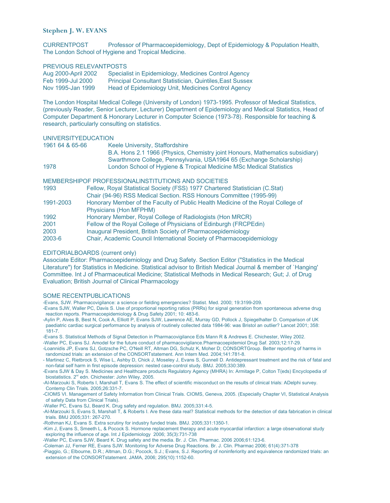# **Stephen J. W. EVANS**

CURRENTPOST Professor of Pharmacoepidemiology, Dept of Epidemiology & Population Health, The London School of Hygiene and Tropical Medicine.

#### PREVIOUS RELEVANTPOSTS

| Aug 2000-April 2002 | Specialist in Epidemiology, Medicines Control Agency             |
|---------------------|------------------------------------------------------------------|
| Feb 1999-Jul 2000   | <b>Principal Consultant Statistician, Quintiles, East Sussex</b> |
| Nov 1995-Jan 1999   | Head of Epidemiology Unit, Medicines Control Agency              |

The London Hospital Medical College (University of London) 1973-1995. Professor of Medical Statistics, (previously Reader, Senior Lecturer, Lecturer) Department of Epidemiology and Medical Statistics, Head of Computer Department & Honorary Lecturer in Computer Science (1973-78). Responsible for teaching & research, particularly consulting on statistics.

#### UNIVERSITYEDUCATION

| 1961 64 & 65-66 | Keele University, Staffordshire                                               |
|-----------------|-------------------------------------------------------------------------------|
|                 | B.A. Hons 2.1 1966 (Physics, Chemistry joint Honours, Mathematics subsidiary) |
|                 | Swarthmore College, Pennsylvania, USA1964 65 (Exchange Scholarship)           |
| 1978            | London School of Hygiene & Tropical Medicine MSc Medical Statistics           |

#### MEMBERSHIPOF PROFESSIONALINSTITUTIONS AND SOCIETIES

| 1993           | Fellow, Royal Statistical Society (FSS) 1977 Chartered Statistician (C.Stat)<br>Chair (94-96) RSS Medical Section. RSS Honours Committee (1995-99) |
|----------------|----------------------------------------------------------------------------------------------------------------------------------------------------|
| 1991-2003      | Honorary Member of the Faculty of Public Health Medicine of the Royal College of<br>Physicians (Hon MFPHM)                                         |
| 1992           | Honorary Member, Royal College of Radiologists (Hon MRCR)                                                                                          |
| 2001           | Fellow of the Royal College of Physicians of Edinburgh (FRCPEdin)                                                                                  |
| 2003<br>2003-6 | Inaugural President, British Society of Pharmacoepidemiology<br>Chair, Academic Council International Society of Pharmacoepidemiology              |

#### EDITORIALBOARDS (current only)

Associate Editor: Pharmacoepidemiology and Drug Safety. Section Editor ("Statistics in the Medical Literature") for Statistics in Medicine. Statistical advisor to British Medical Journal & member of `Hanging' Committee. Int J of Pharmaceutical Medicine; Statistical Methods in Medical Research; Gut; J. of Drug Evaluation; British Journal of Clinical Pharmacology

#### SOME RECENTPUBLICATIONS

-Evans, SJW. Pharmacovigilance: a science or fielding emergencies? Statist. Med. 2000; 19:3199-209.

-Evans SJW, Waller PC, Davis S. Use of proportional reporting ratios (PRRs) for signal generation from spontaneous adverse drug reaction reports. Pharmacoepidemiology & Drug Safety 2001; 10: 483-6.

-Aylin P, Alves B, Best N, Cook A, Elliott P, Evans SJW, Lawrence AE, Murray GD, Pollock J, Spiegelhalter D. Comparison of UK paediatric cardiac surgical performance by analysis of routinely collected data 1984-96: was Bristol an outlier? Lancet 2001; 358: 181-7.

-Evans S. Statistical Methods of Signal Detection in Pharmacovigilance Eds Mann R & Andrews E. Chichester, Wiley 2002.

-Waller PC, Evans SJ. Amodel for the future conduct of pharmacovigilance.Pharmacoepidemiol Drug Saf. 2003;12:17-29.

-Loannidis JP, Evans SJ, Gotzsche PC, O'Neill RT, Altman DG, Schulz K, Moher D; CONSORTGroup. Better reporting of harms in randomized trials: an extension of the CONSORTstatement. Ann Intern Med. 2004;141:781-8.

- Martinez C, Rietbrock S, Wise L, Ashby D, Chick J, Moseley J, Evans S, Gunnell D. Antidepressant treatment and the risk of fatal and non-fatal self harm in first episode depression: nested case-control study. BMJ. 2005;330:389.

-Evans SJW & Day S. Medicines and Healthcare products Regulatory Agency (MHRA) In: Armitage P, Colton T(eds) Encyclopedia of biostatistics. 2<sup>nd</sup> edn. Chichester: John Wiley, 2005.

-Al-Marzouki S, Roberts I, Marshall T, Evans S. The effect of scientific misconduct on the results of clinical trials: ADelphi survey. Contemp Clin Trials. 2005;26:331-7.

-CIOMS VI. Management of Safety Information from Clinical Trials. CIOMS, Geneva, 2005. (Especially Chapter VI, Statistical Analysis of safety Data from Clinical Trials).

-Waller PC, Evans SJ, Beard K. Drug safety and regulation. BMJ. 2005;331:4-5.

-Al-Marzouki S, Evans S, Marshall T, & Roberts I. Are these data real? Statistical methods for the detection of data fabrication in clinical trials. BMJ 2005;331: 267-270.

-Rothman KJ, Evans S. Extra scrutiny for industry funded trials. BMJ. 2005;331:1350-1.

-Kim J, Evans S, Smeeth L, & Pocock S. Hormone replacement therapy and acute myocardial infarction: a large observational study exploring the influence of age. Int J Epidemiology 2006; 35(3):731-738

-Waller PC, Evans SJW, Beard K. Drug safety and the media. Br. J. Clin. Pharmac. 2006 2006;61:123-6.

-Coleman JJ, Ferner RE, Evans SJW. Monitoring for Adverse Drug Reactions. Br. J. Clin. Pharmac 2006; 61(4):371-378

-Piaggio, G.; Elbourne, D.R.; Altman, D.G.; Pocock, S.J.; Evans, S.J. Reporting of noninferiority and equivalence randomized trials: an extension of the CONSORTstatement. JAMA, 2006; 295(10):1152-60.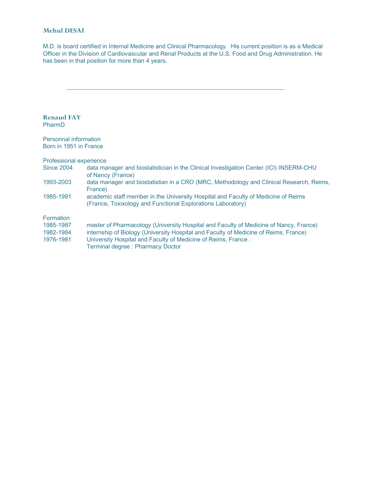# **Mehul DESAI**

M.D. is board certified in Internal Medicine and Clinical Pharmacology. His current position is as a Medical Officer in the Division of Cardiovascular and Renal Products at the U.S. Food and Drug Administration. He has been in that position for more than 4 years.

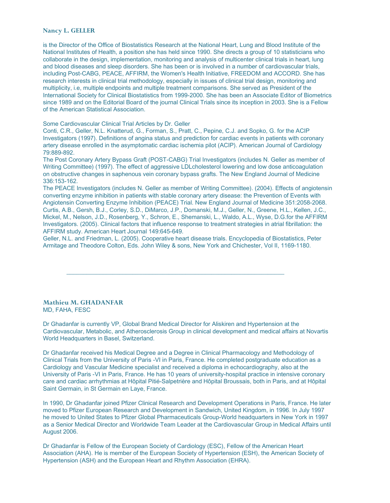#### **Nancy L. GELLER**

is the Director of the Office of Biostatistics Research at the National Heart, Lung and Blood Institute of the National Institutes of Health, a position she has held since 1990. She directs a group of 10 statisticians who collaborate in the design, implementation, monitoring and analysis of multicenter clinical trials in heart, lung and blood diseases and sleep disorders. She has been or is involved in a number of cardiovascular trials, including Post-CABG, PEACE, AFFIRM, the Women's Health Initiative, FREEDOM and ACCORD. She has research interests in clinical trial methodology, especially in issues of clinical trial design, monitoring and multiplicity, i.e, multiple endpoints and multiple treatment comparisons. She served as President of the International Society for Clinical Biostatistics from 1999-2000. She has been an Associate Editor of Biometrics since 1989 and on the Editorial Board of the journal Clinical Trials since its inception in 2003. She is a Fellow of the American Statistical Association.

#### Some Cardiovascular Clinical Trial Articles by Dr. Geller

Conti, C.R., Geller, N.L. Knatterud, G., Forman, S., Pratt, C., Pepine, C.J. and Sopko, G. for the ACIP Investigators (1997). Definitions of angina status and prediction for cardiac events in patients with coronary artery disease enrolled in the asymptomatic cardiac ischemia pilot (ACIP). American Journal of Cardiology 79:889-892.

The Post Coronary Artery Bypass Graft (POST-CABG) Trial Investigators (includes N. Geller as member of Writing Committee) (1997). The effect of aggressive LDLcholesterol lowering and low dose anticoagulation on obstructive changes in saphenous vein coronary bypass grafts. The New England Journal of Medicine 336:153-162.

The PEACE Investigators (includes N. Geller as member of Writing Committee). (2004). Effects of angiotensin converting enzyme inhibition in patients with stable coronary artery disease: the Prevention of Events with Angiotensin Converting Enzyme Inhibition (PEACE) Trial. New England Journal of Medicine 351:2058-2068. Curtis, A.B., Gersh, B.J., Corley, S.D., DiMarco, J.P., Domanski, M.J., Geller, N., Greene, H.L., Kellen, J.C., Mickel, M., Nelson, J.D., Rosenberg, Y., Schron, E., Shemanski, L., Waldo, A.L., Wyse, D.G.for the AFFIRM Investigators. (2005). Clinical factors that influence response to treatment strategies in atrial fibrillation: the AFFIRM study. American Heart Journal 149:645-649.

Geller, N.L. and Friedman, L. (2005). Cooperative heart disease trials. Encyclopedia of Biostatistics, Peter Armitage and Theodore Colton, Eds. John Wiley & sons, New York and Chichester, Vol II, 1169-1180.

\_\_\_\_\_\_\_\_\_\_\_\_\_\_\_\_\_\_\_\_\_\_\_\_\_\_\_\_\_\_\_\_\_\_\_\_\_\_\_\_\_\_\_\_\_\_\_\_\_\_\_\_\_\_\_\_\_\_\_\_\_\_\_\_\_\_

#### **Mathieu M. GHADANFAR** MD, FAHA, FESC

Dr Ghadanfar is currently VP, Global Brand Medical Director for Aliskiren and Hypertension at the Cardiovascular, Metabolic, and Atherosclerosis Group in clinical development and medical affairs at Novartis World Headquarters in Basel, Switzerland.

Dr Ghadanfar received his Medical Degree and a Degree in Clinical Pharmacology and Methodology of Clinical Trials from the University of Paris -VI in Paris, France. He completed postgraduate education as a Cardiology and Vascular Medicine specialist and received a diploma in echocardiography, also at the University of Paris -VI in Paris, France. He has 10 years of university-hospital practice in intensive coronary care and cardiac arrhythmias at Hôpital Pitié-Salpetrière and Hôpital Broussais, both in Paris, and at Hôpital Saint Germain, in St Germain en Laye, France.

In 1990, Dr Ghadanfar joined Pfizer Clinical Research and Development Operations in Paris, France. He later moved to Pfizer European Research and Development in Sandwich, United Kingdom, in 1996. In July 1997 he moved to United States to Pfizer Global Pharmaceuticals Group-World headquarters in New York in 1997 as a Senior Medical Director and Worldwide Team Leader at the Cardiovascular Group in Medical Affairs until August 2006.

Dr Ghadanfar is Fellow of the European Society of Cardiology (ESC), Fellow of the American Heart Association (AHA). He is member of the European Society of Hypertension (ESH), the American Society of Hypertension (ASH) and the European Heart and Rhythm Association (EHRA).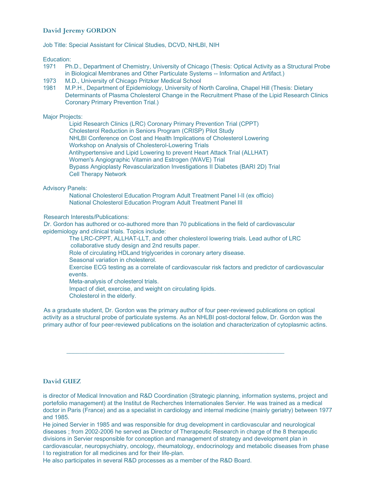# **David Jeremy GORDON**

Job Title: Special Assistant for Clinical Studies, DCVD, NHLBI, NIH

Education:

- 1971 Ph.D., Department of Chemistry, University of Chicago (Thesis: Optical Activity as a Structural Probe in Biological Membranes and Other Particulate Systems -- Information and Artifact.)
- 1973 M.D., University of Chicago Pritzker Medical School
- 1981 M.P.H., Department of Epidemiology, University of North Carolina, Chapel Hill (Thesis: Dietary Determinants of Plasma Cholesterol Change in the Recruitment Phase of the Lipid Research Clinics Coronary Primary Prevention Trial.)

# Major Projects:

Lipid Research Clinics (LRC) Coronary Primary Prevention Trial (CPPT) Cholesterol Reduction in Seniors Program (CRISP) Pilot Study NHLBI Conference on Cost and Health Implications of Cholesterol Lowering Workshop on Analysis of Cholesterol-Lowering Trials Antihypertensive and Lipid Lowering to prevent Heart Attack Trial (ALLHAT) Women's Angiographic Vitamin and Estrogen (WAVE) Trial Bypass Angioplasty Revascularization Investigations II Diabetes (BARI 2D) Trial Cell Therapy Network

Advisory Panels:

National Cholesterol Education Program Adult Treatment Panel I-II (ex officio) National Cholesterol Education Program Adult Treatment Panel III

Research Interests/Publications:

Dr. Gordon has authored or co-authored more than 70 publications in the field of cardiovascular epidemiology and clinical trials. Topics include:

The LRC-CPPT, ALLHAT-LLT, and other cholesterol lowering trials. Lead author of LRC collaborative study design and 2nd results paper.

Role of circulating HDLand triglycerides in coronary artery disease.

Seasonal variation in cholesterol.

Exercise ECG testing as a correlate of cardiovascular risk factors and predictor of cardiovascular events.

Meta-analysis of cholesterol trials.

Impact of diet, exercise, and weight on circulating lipids.

Cholesterol in the elderly.

As a graduate student, Dr. Gordon was the primary author of four peer-reviewed publications on optical activity as a structural probe of particulate systems. As an NHLBI post-doctoral fellow, Dr. Gordon was the primary author of four peer-reviewed publications on the isolation and characterization of cytoplasmic actins.

\_\_\_\_\_\_\_\_\_\_\_\_\_\_\_\_\_\_\_\_\_\_\_\_\_\_\_\_\_\_\_\_\_\_\_\_\_\_\_\_\_\_\_\_\_\_\_\_\_\_\_\_\_\_\_\_\_\_\_\_\_\_\_\_\_\_

# **David GUEZ**

is director of Medical Innovation and R&D Coordination (Strategic planning, information systems, project and portefolio management) at the Institut de Recherches Internationales Servier. He was trained as a medical doctor in Paris (France) and as a specialist in cardiology and internal medicine (mainly geriatry) between 1977 and 1985.

He joined Servier in 1985 and was responsible for drug development in cardiovascular and neurological diseases ; from 2002-2006 he served as Director of Therapeutic Research in charge of the 8 therapeutic divisions in Servier responsible for conception and management of strategy and development plan in cardiovascular, neuropsychiatry, oncology, rheumatology, endocrinology and metabolic diseases from phase I to registration for all medicines and for their life-plan.

He also participates in several R&D processes as a member of the R&D Board.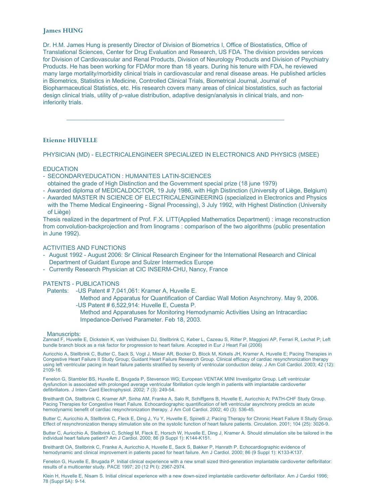# **James HUNG**

Dr. H.M. James Hung is presently Director of Division of Biometrics I, Office of Biostatistics, Office of Translational Sciences, Center for Drug Evaluation and Research, US FDA. The division provides services for Division of Cardiovascular and Renal Products, Division of Neurology Products and Division of Psychiatry Products. He has been working for FDAfor more than 18 years. During his tenure with FDA, he reviewed many large mortality/morbidity clinical trials in cardiovascular and renal disease areas. He published articles in Biometrics, Statistics in Medicine, Controlled Clinical Trials, Biometrical Journal, Journal of Biopharmaceutical Statistics, etc. His research covers many areas of clinical biostatistics, such as factorial design clinical trials, utility of p-value distribution, adaptive design/analysis in clinical trials, and noninferiority trials.

# **Etienne HUVELLE**

PHYSICIAN (MD) - ELECTRICALENGINEER SPECIALIZED IN ELECTRONICS AND PHYSICS (MSEE)

\_\_\_\_\_\_\_\_\_\_\_\_\_\_\_\_\_\_\_\_\_\_\_\_\_\_\_\_\_\_\_\_\_\_\_\_\_\_\_\_\_\_\_\_\_\_\_\_\_\_\_\_\_\_\_\_\_\_\_\_\_\_\_\_\_\_

#### **EDUCATION**

- SECONDARYEDUCATION : HUMANITES LATIN-SCIENCES
- obtained the grade of High Distinction and the Government special prize (18 june 1979)
- Awarded diploma of MEDICALDOCTOR, 19 July 1986, with High Distinction (University of Liège, Belgium)
- Awarded MASTER IN SCIENCE OF ELECTRICALENGINEERING (specialized in Electronics and Physics with the Theme Medical Engineering - Signal Processing), 3 July 1992, with Highest Distinction (University of Liège)

Thesis realized in the department of Prof. F.X. LITT(Applied Mathematics Department) : image reconstruction from convolution-backprojection and from linograms : comparison of the two algorithms (public presentation in June 1992).

# ACTIVITIES AND FUNCTIONS

- August 1992 August 2006: Sr Clinical Research Engineer for the International Research and Clinical Department of Guidant Europe and Sulzer Intermedics Europe
- Currently Research Physician at CIC INSERM-CHU, Nancy, France

#### PATENTS - PUBLICATIONS

- Patents: US Patent # 7,041,061: Kramer A, Huvelle E.
	- Method and Apparatus for Quantification of Cardiac Wall Motion Asynchrony. May 9, 2006. -US Patent # 6,522,914: Huvelle E, Cuesta P.
	- Method and Apparatuses for Monitoring Hemodynamic Activities Using an Intracardiac Impedance-Derived Parameter. Feb 18, 2003.

#### Manuscripts:

Zannad F, Huvelle E, Dickstein K, van Veldhuisen DJ, Stellbrink C, Køber L, Cazeau S, Ritter P, Maggioni AP, Ferrari R, Lechat P; Left bundle branch block as a risk factor for progression to heart failure. Accepted in Eur J Heart Fail (2006)

Auricchio A, Stellbrink C, Butter C, Sack S, Vogt J, Misier AR, Bocker D, Block M, Kirkels JH, Kramer A, Huvelle E; Pacing Therapies in Congestive Heart Failure II Study Group; Guidant Heart Failure Research Group. Clinical efficacy of cardiac resynchronization therapy using left ventricular pacing in heart failure patients stratified by severity of ventricular conduction delay. J Am Coll Cardiol. 2003; 42 (12): 2109-16.

Fenelon G, Stambler BS, Huvelle E, Brugada P, Stevenson WG; European VENTAK MINI Investigator Group. Left ventricular dysfunction is associated with prolonged average ventricular fibrillation cycle length in patients with implantable cardioverter defibrillators. J Interv Card Electrophysiol. 2002; 7 (3): 249-54.

Breithardt OA, Stellbrink C, Kramer AP, Sinha AM, Franke A, Salo R, Schiffgens B, Huvelle E, Auricchio A; PATH-CHF Study Group. Pacing Therapies for Congestive Heart Failure. Echocardiographic quantification of left ventricular asynchrony predicts an acute hemodynamic benefit of cardiac resynchronization therapy. J Am Coll Cardiol. 2002; 40 (3): 536-45.

Butter C, Auricchio A, Stellbrink C, Fleck E, Ding J, Yu Y, Huvelle E, Spinelli J; Pacing Therapy for Chronic Heart Failure II Study Group. Effect of resynchronization therapy stimulation site on the systolic function of heart failure patients. Circulation. 2001; 104 (25): 3026-9.

Butter C, Auricchio A, Stellbrink C, Schlegl M, Fleck E, Horsch W, Huvelle E, Ding J, Kramer A. Should stimulation site be tailored in the individual heart failure patient? Am J Cardiol. 2000; 86 (9 Suppl 1): K144-K151.

Breithardt OA, Stellbrink C, Franke A, Auricchio A, Huvelle E, Sack S, Bakker P, Hanrath P. Echocardiographic evidence of hemodynamic and clinical improvement in patients paced for heart failure. Am J Cardiol. 2000; 86 (9 Suppl 1): K133-K137.

Fenelon G, Huvelle E, Brugada P. Initial clinical experience with a new small sized third-generation implantable cardioverter defibrillator: results of a multicenter study. PACE 1997; 20 (12 Pt I): 2967-2974.

Klein H, Huvelle E, Nisam S. Initial clinical experience with a new down-sized implantable cardioverter defibrillator. Am J Cardiol 1996; 78 (Suppl 5A): 9-14.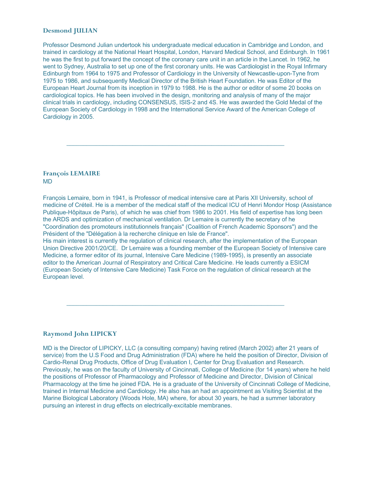# **Desmond JULIAN**

Professor Desmond Julian undertook his undergraduate medical education in Cambridge and London, and trained in cardiology at the National Heart Hospital, London, Harvard Medical School, and Edinburgh. In 1961 he was the first to put forward the concept of the coronary care unit in an article in the Lancet. In 1962, he went to Sydney, Australia to set up one of the first coronary units. He was Cardiologist in the Royal Infirmary Edinburgh from 1964 to 1975 and Professor of Cardiology in the University of Newcastle-upon-Tyne from 1975 to 1986, and subsequently Medical Director of the British Heart Foundation. He was Editor of the European Heart Journal from its inception in 1979 to 1988. He is the author or editor of some 20 books on cardiological topics. He has been involved in the design, monitoring and analysis of many of the major clinical trials in cardiology, including CONSENSUS, ISIS-2 and 4S. He was awarded the Gold Medal of the European Society of Cardiology in 1998 and the International Service Award of the American College of Cardiology in 2005.

\_\_\_\_\_\_\_\_\_\_\_\_\_\_\_\_\_\_\_\_\_\_\_\_\_\_\_\_\_\_\_\_\_\_\_\_\_\_\_\_\_\_\_\_\_\_\_\_\_\_\_\_\_\_\_\_\_\_\_\_\_\_\_\_\_\_

#### **François LEMAIRE** MD

François Lemaire, born in 1941, is Professor of medical intensive care at Paris XII University, school of medicine of Créteil. He is a member of the medical staff of the medical ICU of Henri Mondor Hosp (Assistance Publique-Hôpitaux de Paris), of which he was chief from 1986 to 2001. His field of expertise has long been the ARDS and optimization of mechanical ventilation. Dr Lemaire is currently the secretary of he "Coordination des promoteurs institutionnels français" (Coalition of French Academic Sponsors") and the Président of the "Délégation à la recherche clinique en Isle de France".

His main interest is currently the regulation of clinical research, after the implementation of the European Union Directive 2001/20/CE. Dr Lemaire was a founding member of the European Society of Intensive care Medicine, a former editor of its journal, Intensive Care Medicine (1989-1995), is presently an associate editor to the American Journal of Respiratory and Critical Care Medicine. He leads currently a ESICM (European Society of Intensive Care Medicine) Task Force on the regulation of clinical research at the European level.

\_\_\_\_\_\_\_\_\_\_\_\_\_\_\_\_\_\_\_\_\_\_\_\_\_\_\_\_\_\_\_\_\_\_\_\_\_\_\_\_\_\_\_\_\_\_\_\_\_\_\_\_\_\_\_\_\_\_\_\_\_\_\_\_\_\_

# **Raymond John LIPICKY**

MD is the Director of LIPICKY, LLC (a consulting company) having retired (March 2002) after 21 years of service) from the U.S Food and Drug Administration (FDA) where he held the position of Director, Division of Cardio-Renal Drug Products, Office of Drug Evaluation I, Center for Drug Evaluation and Research. Previously, he was on the faculty of University of Cincinnati, College of Medicine (for 14 years) where he held the positions of Professor of Pharmacology and Professor of Medicine and Director, Division of Clinical Pharmacology at the time he joined FDA. He is a graduate of the University of Cincinnati College of Medicine, trained in Internal Medicine and Cardiology. He also has an had an appointment as Visiting Scientist at the Marine Biological Laboratory (Woods Hole, MA) where, for about 30 years, he had a summer laboratory pursuing an interest in drug effects on electrically-excitable membranes.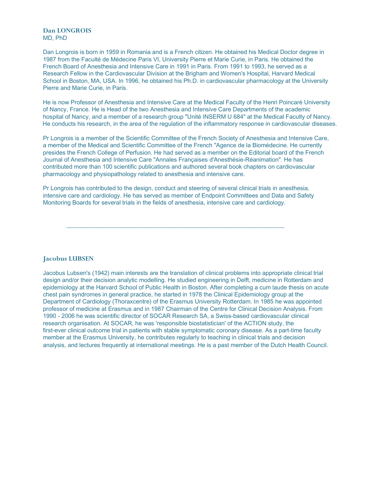**Dan LONGROIS** MD, PhD

Dan Longrois is born in 1959 in Romania and is a French citizen. He obtained his Medical Doctor degree in 1987 from the Faculté de Médecine Paris VI, University Pierre et Marie Curie, in Paris. He obtained the French Board of Anesthesia and Intensive Care in 1991 in Paris. From 1991 to 1993, he served as a Research Fellow in the Cardiovascular Division at the Brigham and Women's Hospital, Harvard Medical School in Boston, MA, USA. In 1996, he obtained his Ph.D. in cardiovascular pharmacology at the University Pierre and Marie Curie, in Paris.

He is now Professor of Anesthesia and Intensive Care at the Medical Faculty of the Henri Poincaré University of Nancy, France. He is Head of the two Anesthesia and Intensive Care Departments of the academic hospital of Nancy, and a member of a research group "Unité INSERM U 684" at the Medical Faculty of Nancy. He conducts his research, in the area of the regulation of the inflammatory response in cardiovascular diseases.

Pr Longrois is a member of the Scientific Committee of the French Society of Anesthesia and Intensive Care, a member of the Medical and Scientific Committee of the French "Agence de la Biomédecine. He currently presides the French College of Perfusion. He had served as a member on the Editorial board of the French Journal of Anesthesia and Intensive Care "Annales Françaises d'Anesthésie-Réanimation". He has contributed more than 100 scientific publications and authored several book chapters on cardiovascular pharmacology and physiopathology related to anesthesia and intensive care.

Pr Longrois has contributed to the design, conduct and steering of several clinical trials in anesthesia, intensive care and cardiology. He has served as member of Endpoint Committees and Data and Safety Monitoring Boards for several trials in the fields of anesthesia, intensive care and cardiology.

\_\_\_\_\_\_\_\_\_\_\_\_\_\_\_\_\_\_\_\_\_\_\_\_\_\_\_\_\_\_\_\_\_\_\_\_\_\_\_\_\_\_\_\_\_\_\_\_\_\_\_\_\_\_\_\_\_\_\_\_\_\_\_\_\_\_

**Jacobus LUBSEN**

Jacobus Lubsen's (1942) main interests are the translation of clinical problems into appropriate clinical trial design and/or their decision analytic modelling. He studied engineering in Delft, medicine in Rotterdam and epidemiology at the Harvard School of Public Health in Boston. After completing a cum laude thesis on acute chest pain syndromes in general practice, he started in 1978 the Clinical Epidemiology group at the Department of Cardiology (Thoraxcentre) of the Erasmus University Rotterdam. In 1985 he was appointed professor of medicine at Erasmus and in 1987 Chairman of the Centre for Clinical Decision Analysis. From 1990 - 2006 he was scientific director of SOCAR Research SA, a Swiss-based cardiovascular clinical research organisation. At SOCAR, he was 'responsible biostatistician' of the ACTION study, the first-ever clinical outcome trial in patients with stable symptomatic coronary disease. As a part-time faculty member at the Erasmus University, he contributes regularly to teaching in clinical trials and decision analysis, and lectures frequently at international meetings. He is a past member of the Dutch Health Council.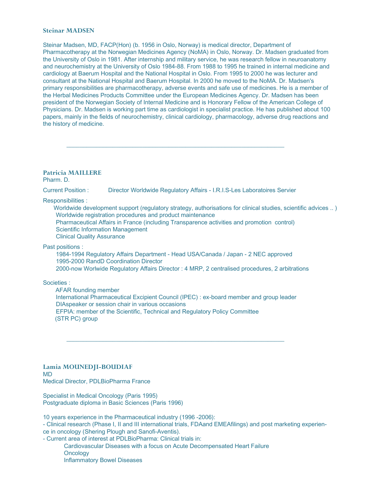# **Steinar MADSEN**

Steinar Madsen, MD, FACP(Hon) (b. 1956 in Oslo, Norway) is medical director, Department of Pharmacotherapy at the Norwegian Medicines Agency (NoMA) in Oslo, Norway. Dr. Madsen graduated from the University of Oslo in 1981. After internship and military service, he was research fellow in neuroanatomy and neurochemistry at the University of Oslo 1984-88. From 1988 to 1995 he trained in internal medicine and cardiology at Baerum Hospital and the National Hospital in Oslo. From 1995 to 2000 he was lecturer and consultant at the National Hospital and Baerum Hospital. In 2000 he moved to the NoMA. Dr. Madsen's primary responsibilities are pharmacotherapy, adverse events and safe use of medicines. He is a member of the Herbal Medicines Products Committee under the European Medicines Agency. Dr. Madsen has been president of the Norwegian Society of Internal Medicine and is Honorary Fellow of the American College of Physicians. Dr. Madsen is working part time as cardiologist in specialist practice. He has published about 100 papers, mainly in the fields of neurochemistry, clinical cardiology, pharmacology, adverse drug reactions and the history of medicine.

# **Patricia MAILLERE**

Pharm. D.

Current Position : Director Worldwide Regulatory Affairs - I.R.I.S-Les Laboratoires Servier

\_\_\_\_\_\_\_\_\_\_\_\_\_\_\_\_\_\_\_\_\_\_\_\_\_\_\_\_\_\_\_\_\_\_\_\_\_\_\_\_\_\_\_\_\_\_\_\_\_\_\_\_\_\_\_\_\_\_\_\_\_\_\_\_\_\_

Responsibilities :

Worldwide development support (regulatory strategy, authorisations for clinical studies, scientific advices ..) Worldwide registration procedures and product maintenance Pharmaceutical Affairs in France (including Transparence activities and promotion control) Scientific Information Management Clinical Quality Assurance

Past positions :

1984-1994 Regulatory Affairs Department - Head USA/Canada / Japan - 2 NEC approved 1995-2000 RandD Coordination Director

2000-now Worlwide Regulatory Affairs Director : 4 MRP, 2 centralised procedures, 2 arbitrations

#### Societies :

AFAR founding member International Pharmaceutical Excipient Council (IPEC) : ex-board member and group leader DIAspeaker or session chair in various occasions EFPIA: member of the Scientific, Technical and Regulatory Policy Committee (STR PC) group

\_\_\_\_\_\_\_\_\_\_\_\_\_\_\_\_\_\_\_\_\_\_\_\_\_\_\_\_\_\_\_\_\_\_\_\_\_\_\_\_\_\_\_\_\_\_\_\_\_\_\_\_\_\_\_\_\_\_\_\_\_\_\_\_\_\_

#### **Lamia MOUNEDJI-BOUDIAF** MD Medical Director, PDLBioPharma France

Specialist in Medical Oncology (Paris 1995) Postgraduate diploma in Basic Sciences (Paris 1996)

10 years experience in the Pharmaceutical industry (1996 -2006):

- Clinical research (Phase I, II and III international trials, FDAand EMEAfilings) and post marketing experience in oncology (Shering Plough and Sanofi-Aventis).

- Current area of interest at PDLBioPharma: Clinical trials in:

Cardiovascular Diseases with a focus on Acute Decompensated Heart Failure **Oncology** Inflammatory Bowel Diseases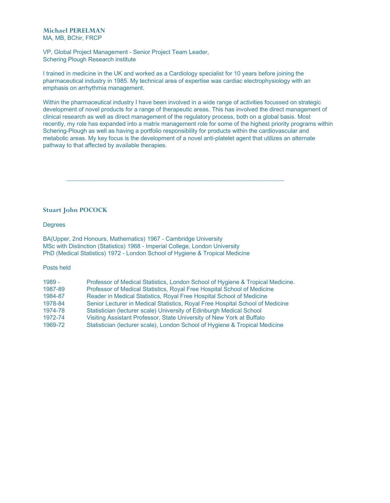VP, Global Project Management - Senior Project Team Leader, Schering Plough Research institute

I trained in medicine in the UK and worked as a Cardiology specialist for 10 years before joining the pharmaceutical industry in 1985. My technical area of expertise was cardiac electrophysiology with an emphasis on arrhythmia management.

\_\_\_\_\_\_\_\_\_\_\_\_\_\_\_\_\_\_\_\_\_\_\_\_\_\_\_\_\_\_\_\_\_\_\_\_\_\_\_\_\_\_\_\_\_\_\_\_\_\_\_\_\_\_\_\_\_\_\_\_\_\_\_\_\_\_

Within the pharmaceutical industry I have been involved in a wide range of activities focussed on strategic development of novel products for a range of therapeutic areas. This has involved the direct management of clinical research as well as direct management of the regulatory process, both on a global basis. Most recently, my role has expanded into a matrix management role for some of the highest priority programs within Schering-Plough as well as having a portfolio responsibility for products within the cardiovascular and metabolic areas. My key focus is the development of a novel anti-platelet agent that utilizes an alternate pathway to that affected by available therapies.

# **Stuart John POCOCK**

**Degrees** 

BA(Upper, 2nd Honours, Mathematics) 1967 - Cambridge University MSc with Distinction (Statistics) 1968 - Imperial College, London University PhD (Medical Statistics) 1972 - London School of Hygiene & Tropical Medicine

#### Posts held

1989 - Professor of Medical Statistics, London School of Hygiene & Tropical Medicine. 1987-89 Professor of Medical Statistics, Royal Free Hospital School of Medicine 1984-87 Reader in Medical Statistics, Royal Free Hospital School of Medicine 1978-84 Senior Lecturer in Medical Statistics, Royal Free Hospital School of Medicine 1974-78 Statistician (lecturer scale) University of Edinburgh Medical School 1972-74 Visiting Assistant Professor, State University of New York at Buffalo 1969-72 Statistician (lecturer scale), London School of Hygiene & Tropical Medicine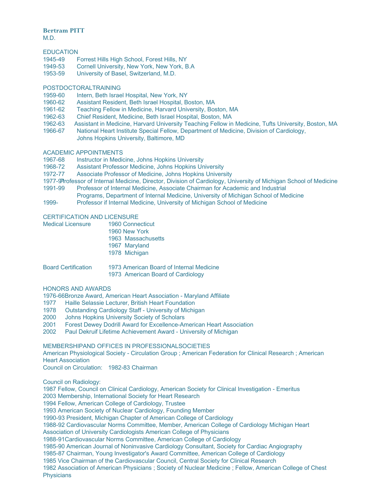# **Bertram PITT**

M.D.

# **EDUCATION**

- 1945-49 Forrest Hills High School, Forest Hills, NY
- 1949-53 Cornell University, New York, New York, B.A
- 1953-59 University of Basel, Switzerland, M.D.

# POSTDOCTORALTRAINING

- 1959-60 Intern, Beth Israel Hospital, New York, NY
- 1960-62 Assistant Resident, Beth Israel Hospital, Boston, MA
- 1961-62 Teaching Fellow in Medicine, Harvard University, Boston, MA
- 1962-63 Chief Resident, Medicine, Beth Israel Hospital, Boston, MA
- 1962-63 Assistant in Medicine, Harvard University Teaching Fellow in Medicine, Tufts University, Boston, MA
- 1966-67 National Heart Institute Special Fellow, Department of Medicine, Division of Cardiology, Johns Hopkins University, Baltimore, MD

# ACADEMIC APPOINTMENTS

- 1967-68 Instructor in Medicine, Johns Hopkins University
- 1968-72 Assistant Professor Medicine, Johns Hopkins University
- 1972-77 Associate Professor of Medicine, Johns Hopkins University
- 1977-91Professor of Internal Medicine, Director, Division of Cardiology, University of Michigan School of Medicine 1991-99 Professor of Internal Medicine, Associate Chairman for Academic and Industrial
- Programs, Department of Internal Medicine, University of Michigan School of Medicine
- 1999- Professor if Internal Medicine, University of Michigan School of Medicine

# CERTIFICATION AND LICENSURE

| <b>Medical Licensure</b> | <b>1960 Connecticut</b> |
|--------------------------|-------------------------|
|                          | 1960 New York           |
|                          | 1963 Massachusetts      |
|                          | 1967 Maryland           |
|                          | 1978 Michigan           |

| Board Certification | 1973 American Board of Internal Medicine |
|---------------------|------------------------------------------|
|                     | 1973 American Board of Cardiology        |

#### HONORS AND AWARDS

1976-66Bronze Award, American Heart Association - Maryland Affiliate

- 1977 Haille Selassie Lecturer, British Heart Foundation
- 1978 Outstanding Cardiology Staff University of Michigan
- 2000 Johns Hopkins University Society of Scholars
- 2001 Forest Dewey Dodrill Award for Excellence-American Heart Association
- 2002 Paul Dekruif Lifetime Achievement Award University of Michigan

# MEMBERSHIPAND OFFICES IN PROFESSIONALSOCIETIES

American Physiological Society - Circulation Group ; American Federation for Clinical Research ; American Heart Association

Council on Circulation: 1982-83 Chairman

Council on Radiology:

1987 Fellow, Council on Clinical Cardiology, American Society for Clinical Investigation - Emeritus

2003 Membership, International Society for Heart Research

1994 Fellow, American College of Cardiology, Trustee

1993 American Society of Nuclear Cardiology, Founding Member

1990-93 President, Michigan Chapter of American College of Cardiology

1988-92 Cardiovascular Norms Committee, Member, American College of Cardiology Michigan Heart

Association of University Cardiologists American College of Physicians

1988-91Cardiovascular Norms Committee, American College of Cardiology

1985-90 American Journal of Noninvasive Cardiology Consultant, Society for Cardiac Angiography

1985-87 Chairman, Young Investigator's Award Committee, American College of Cardiology

1985 Vice Chairman of the Cardiovascular Council, Central Society for Clinical Research

1982 Association of American Physicians ; Society of Nuclear Medicine ; Fellow, American College of Chest **Physicians**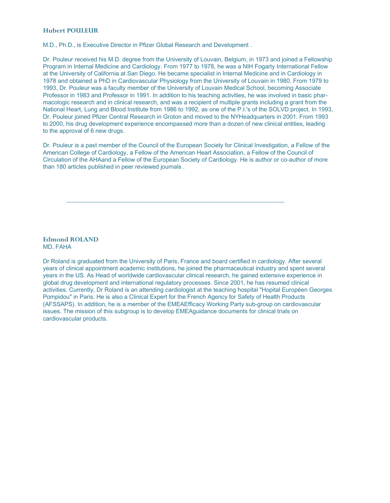# **Hubert POULEUR**

M.D., Ph.D., is Executive Director in Pfizer Global Research and Development .

Dr. Pouleur received his M.D. degree from the University of Louvain, Belgium, in 1973 and joined a Fellowship Program in Internal Medicine and Cardiology. From 1977 to 1978, he was a NIH Fogarty International Fellow at the University of California at San Diego. He became specialist in Internal Medicine and in Cardiology in 1978 and obtained a PhD in Cardiovascular Physiology from the University of Louvain in 1980. From 1979 to 1993, Dr. Pouleur was a faculty member of the University of Louvain Medical School, becoming Associate Professor in 1983 and Professor in 1991. In addition to his teaching activities, he was involved in basic pharmacologic research and in clinical research, and was a recipient of multiple grants including a grant from the National Heart, Lung and Blood Institute from 1986 to 1992, as one of the P.I.'s of the SOLVD project. In 1993, Dr. Pouleur joined Pfizer Central Research in Groton and moved to the NYHeadquarters in 2001. From 1993 to 2000, his drug development experience encompassed more than a dozen of new clinical entities, leading to the approval of 6 new drugs.

Dr. Pouleur is a past member of the Council of the European Society for Clinical Investigation, a Fellow of the American College of Cardiology, a Fellow of the American Heart Association, a Fellow of the Council of Circulation of the AHAand a Fellow of the European Society of Cardiology. He is author or co-author of more than 180 articles published in peer reviewed journals .

\_\_\_\_\_\_\_\_\_\_\_\_\_\_\_\_\_\_\_\_\_\_\_\_\_\_\_\_\_\_\_\_\_\_\_\_\_\_\_\_\_\_\_\_\_\_\_\_\_\_\_\_\_\_\_\_\_\_\_\_\_\_\_\_\_\_

**Edmond ROLAND** MD, FAHA

Dr Roland is graduated from the University of Paris, France and board certified in cardiology. After several years of clinical appointment academic institutions, he joined the pharmaceutical industry and spent several years in the US. As Head of worldwide cardiovascular clinical research, he gained extensive experience in global drug development and international regulatory processes. Since 2001, he has resumed clinical activities. Currently, Dr Roland is an attending cardiologist at the teaching hospital "Hopital Européen Georges Pompidou" in Paris. He is also a Clinical Expert for the French Agency for Safety of Health Products (AFSSAPS). In addition, he is a member of the EMEAEfficacy Working Party sub-group on cardiovascular issues. The mission of this subgroup is to develop EMEAguidance documents for clinical trials on cardiovascular products.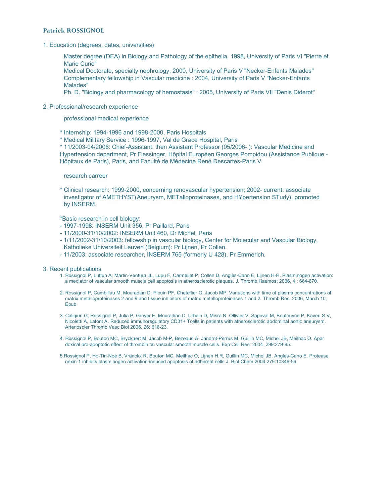# **Patrick ROSSIGNOL**

1. Education (degrees, dates, universities)

Master degree (DEA) in Biology and Pathology of the epithelia, 1998, University of Paris VI "Pierre et Marie Curie"

Medical Doctorate, specialty nephrology, 2000, University of Paris V "Necker-Enfants Malades" Complementary fellowship in Vascular medicine : 2004, University of Paris V "Necker-Enfants Malades"

Ph. D. "Biology and pharmacology of hemostasis" : 2005, University of Paris VII "Denis Diderot"

#### 2. Professional/research experience

professional medical experience

- \* Internship: 1994-1996 and 1998-2000, Paris Hospitals
- \* Medical Military Service : 1996-1997, Val de Grace Hospital, Paris

\* 11/2003-04/2006: Chief-Assistant, then Assistant Professor (05/2006- ): Vascular Medicine and Hypertension department, Pr Fiessinger, Hôpital Européen Georges Pompidou (Assistance Publique - Hôpitaux de Paris), Paris, and Faculté de Médecine René Descartes-Paris V.

#### research carreer

\* Clinical research: 1999-2000, concerning renovascular hypertension; 2002- current: associate investigator of AMETHYST(Aneurysm, METalloproteinases, and HYpertension STudy), promoted by INSERM.

\*Basic research in cell biology:

- 1997-1998: INSERM Unit 356, Pr Paillard, Paris
- 11/2000-31/10/2002: INSERM Unit 460, Dr Michel, Paris
- 1/11/2002-31/10/2003: fellowship in vascular biology, Center for Molecular and Vascular Biology, Katholieke Universiteit Leuven (Belgium): Pr Lijnen, Pr Collen.
- 11/2003: associate researcher, INSERM 765 (formerly U 428), Pr Emmerich.

3. Recent publications

- 1. Rossignol P, Luttun A, Martin-Ventura JL, Lupu F, Carmeliet P, Collen D, Anglès-Cano E, Lijnen H-R. Plasminogen activation: a mediator of vascular smooth muscle cell apoptosis in atherosclerotic plaques. J. Thromb Haemost 2006, 4 : 664-670.
- 2. Rossignol P, Cambillau M, Mouradian D, Plouin PF, Chatellier G, Jacob MP. Variations with time of plasma concentrations of matrix metalloproteinases 2 and 9 and tissue inhibitors of matrix metalloproteinases 1 and 2. Thromb Res. 2006, March 10, Epub
- 3. Caligiuri G, Rossignol P, Julia P, Groyer E, Mouradian D, Urbain D, Misra N, Ollivier V, Sapoval M, Boutouyrie P, Kaveri S.V, Nicoletti A, Lafont A. Reduced immunoregulatory CD31+ Tcells in patients with atherosclerotic abdominal aortic aneurysm. Arterioscler Thromb Vasc Biol 2006, 26: 618-23.
- 4. Rossignol P, Bouton MC, Bryckaert M, Jacob M-P, Bezeaud A, Jandrot-Perrus M, Guillin MC, Michel JB, Meilhac O. Apar doxical pro-apoptotic effect of thrombin on vascular smooth muscle cells. Exp Cell Res. 2004 ;299:279-85.

5.Rossignol P, Ho-Tin-Noé B, Vranckx R, Bouton MC, Meilhac O, Lijnen H.R, Guillin MC, Michel JB, Anglès-Cano E. Protease nexin-1 inhibits plasminogen activation-induced apoptosis of adherent cells J. Biol Chem 2004;279:10346-56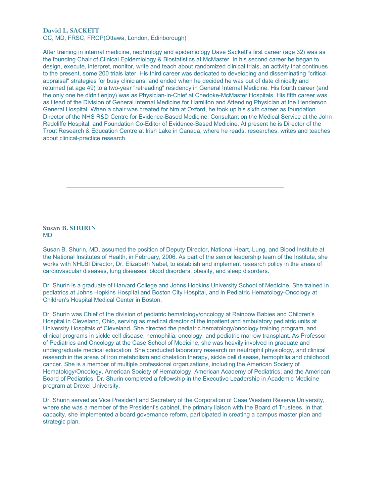# **David L. SACKETT**

OC, MD, FRSC, FRCP(Ottawa, London, Edinborough)

After training in internal medicine, nephrology and epidemiology Dave Sackett's first career (age 32) was as the founding Chair of Clinical Epidemiology & Biostatistics at McMaster. In his second career he began to design, execute, interpret, monitor, write and teach about randomized clinical trials, an activity that continues to the present, some 200 trials later. His third career was dedicated to developing and disseminating "critical appraisal" strategies for busy clinicians, and ended when he decided he was out of date clinically and returned (at age 49) to a two-year "retreading" residency in General Internal Medicine. His fourth career (and the only one he didn't enjoy) was as Physician-in-Chief at Chedoke-McMaster Hospitals. His fifth career was as Head of the Division of General Internal Medicine for Hamilton and Attending Physician at the Henderson General Hospital. When a chair was created for him at Oxford, he took up his sixth career as foundation Director of the NHS R&D Centre for Evidence-Based Medicine, Consultant on the Medical Service at the John Radcliffe Hospital, and Foundation Co-Editor of Evidence-Based Medicine. At present he is Director of the Trout Research & Education Centre at Irish Lake in Canada, where he reads, researches, writes and teaches about clinical-practice research.

#### **Susan B. SHURIN** MD

Susan B. Shurin, MD, assumed the position of Deputy Director, National Heart, Lung, and Blood Institute at the National Institutes of Health, in February, 2006. As part of the senior leadership team of the Institute, she works with NHLBI Director, Dr. Elizabeth Nabel, to establish and implement research policy in the areas of cardiovascular diseases, lung diseases, blood disorders, obesity, and sleep disorders.

\_\_\_\_\_\_\_\_\_\_\_\_\_\_\_\_\_\_\_\_\_\_\_\_\_\_\_\_\_\_\_\_\_\_\_\_\_\_\_\_\_\_\_\_\_\_\_\_\_\_\_\_\_\_\_\_\_\_\_\_\_\_\_\_\_\_

Dr. Shurin is a graduate of Harvard College and Johns Hopkins University School of Medicine. She trained in pediatrics at Johns Hopkins Hospital and Boston City Hospital, and in Pediatric Hematology-Oncology at Children's Hospital Medical Center in Boston.

Dr. Shurin was Chief of the division of pediatric hematology/oncology at Rainbow Babies and Children's Hospital in Cleveland, Ohio, serving as medical director of the inpatient and ambulatory pediatric units at University Hospitals of Cleveland. She directed the pediatric hematology/oncology training program, and clinical programs in sickle cell disease, hemophilia, oncology, and pediatric marrow transplant. As Professor of Pediatrics and Oncology at the Case School of Medicine, she was heavily involved in graduate and undergraduate medical education. She conducted laboratory research on neutrophil physiology, and clinical research in the areas of iron metabolism and chelation therapy, sickle cell disease, hemophilia and childhood cancer. She is a member of multiple professional organizations, including the American Society of Hematology/Oncology, American Society of Hematology, American Academy of Pediatrics, and the American Board of Pediatrics. Dr. Shurin completed a fellowship in the Executive Leadership in Academic Medicine program at Drexel University.

Dr. Shurin served as Vice President and Secretary of the Corporation of Case Western Reserve University, where she was a member of the President's cabinet, the primary liaison with the Board of Trustees. In that capacity, she implemented a board governance reform, participated in creating a campus master plan and strategic plan.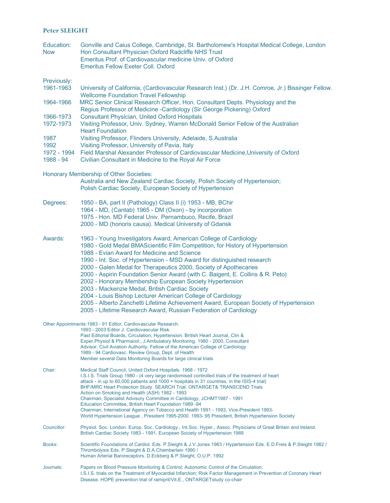# **Peter SLEIGHT**

| Education: | Gonville and Caius College, Cambridge, St. Bartholomew's Hospital Medical College, London |
|------------|-------------------------------------------------------------------------------------------|
| <b>Now</b> | Hon Consultant Physician Oxford Radcliffe NHS Trust                                       |
|            | Emeritus Prof. of Cardiovascular medicine Univ. of Oxford                                 |
|            | Emeritus Fellow Exeter Coll, Oxford                                                       |

Previously:

- 1961-1963 University of California, (Cardiovascular Research Inst.) (Dr. J.H. Comroe, Jr.) Bissinger Fellow. Wellcome Foundation Travel Fellowship
- 1964-1966 MRC Senior Clinical Research Officer, Hon. Consultant Depts. Physiology and the Regius Professor of Medicine -Cardiology (Sir George Pickering) Oxford
- 1966-1973 Consultant Physician, United Oxford Hospitals
- 1972-1973 Visiting Professor, Univ. Sydney, Warren McDonald Senior Fellow of the Australian Heart Foundation
- 1987 Visiting Professor, Flinders University, Adelaide, S.Australia
- 1992 Visiting Professor, University of Pavia, Italy
- 1972 1994 Field Marshal Alexander Professor of Cardiovascular Medicine,University of Oxford
- 1988 94 Civilian Consultant in Medicine to the Royal Air Force
- Honorary Membership of Other Societies:

Australia and New Zealand Cardiac Society, Polish Society of Hypertension; Polish Cardiac Society, European Society of Hypertension

- Degrees: 1950 BA, part II (Pathology) Class II (i) 1953 MB, BChir 1964 - MD, (Cantab) 1965 - DM (Oxon) - by incorporation
	- 1975 Hon. MD Federal Univ. Pernambuco, Recife, Brazil
		- 2000 MD (honoris causa). Medical University of Gdansk
- 
- Awards: 1963 Young Investigators Award, American College of Cardiology 1980 - Gold Medal BMAScientific Film Competition, for History of Hypertension
	- - 1988 Evian Award for Medicine and Science
		- 1990 Int. Soc. of Hypertension MSD Award for distinguished research
		- 2000 Galen Medal for Therapeutics 2000, Society of Apothecaries
		- 2000 Aspirin Foundation Senior Award (with C. Baigent, E. Collins & R. Peto)
		- 2002 Honorary Membership European Society Hypertension
	- 2003 Mackenzie Medal, British Cardiac Society
	- 2004 Louis Bishop Lecturer American College of Cardiology
	- 2005 Alberto Zanchetti Lifetime Achievement Award, European Society of Hypertension
	- 2005 Lifetime Research Award, Russian Federation of Cardiology
- Other Appointments:1983 91 Editor, Cardiovascular Research.

|             | 1993 - 2003 Editor J. Cardiovascular Risk.<br>Past Editorial Boards, Circulation, Hypertension. British Heart Journal, Clin &<br>Exper. Physiol & Pharmacol., J. Ambulatory Monitoring. 1980 - 2000, Consultant<br>Advisor, Civil Aviation Authority, Fellow of the American College of Cardiology<br>1989 - 94 Cardiovasc. Review Group, Dept. of Health<br>Member several Data Monitoring Boards for large clinical trials                                                                                                                                                                                                                                                                                                     |
|-------------|----------------------------------------------------------------------------------------------------------------------------------------------------------------------------------------------------------------------------------------------------------------------------------------------------------------------------------------------------------------------------------------------------------------------------------------------------------------------------------------------------------------------------------------------------------------------------------------------------------------------------------------------------------------------------------------------------------------------------------|
| Chair:      | Medical Staff Council, United Oxford Hospitals. 1968 - 1972<br>I.S.I.S. Trials Group 1980 - (4 very large randomised controlled trials of the treatment of heart<br>attack - in up to 60,000 patients and 1000 + hospitals in 31 countries, in the ISIS-4 trial)<br>BHF/MRC Heart Protection Study. SEARCH Trial. ONTARGET& TRANSCEND Trials<br>Action on Smoking and Health (ASH) 1982 - 1993<br>Chairman, Specialist Advisory Committee in Cardiology, JCHMT1987 - 1991<br>Education Committee, British Heart Foundation 1989 -94<br>Chairman, International Agency on Tobacco and Health 1991 - 1993, Vice-President 1993-<br>World Hypertension League, President 1995-2000, 1993-95 President, British Hypertension Society |
| Councillor: | Physiol. Soc. London. Europ. Soc. Cardiology., Int. Soc. Hyper., Assoc. Physicians of Great Britain and Ireland.<br>British Cardiac Society 1983 - 1991. European Society of Hypertension 1989                                                                                                                                                                                                                                                                                                                                                                                                                                                                                                                                   |
| Books:      | Scientific Foundations of Cardiol. Eds. P.Sleight & J.V.Jones 1983 / Hypertension Eds. E.D.Freis & P.Sleight 1982 /<br>Thrombolysis Eds. P.Sleight & D.A.Chamberlain 1990 /<br>Human Arterial Baroreceptors. D. Eckberg & P. Sleight, O.U.P. 1992                                                                                                                                                                                                                                                                                                                                                                                                                                                                                |
| Journals:   | Papers on Blood Pressure Monitoring & Control; Autonomic Control of the Circulation;<br>I.S.I.S. trials on the Treatment of Myocardial Infarction; Risk Factor Management in Prevention of Coronary Heart<br>Disease, HOPE prevention trial of ramipril/Vit.E., ONTARGET study co-chair                                                                                                                                                                                                                                                                                                                                                                                                                                          |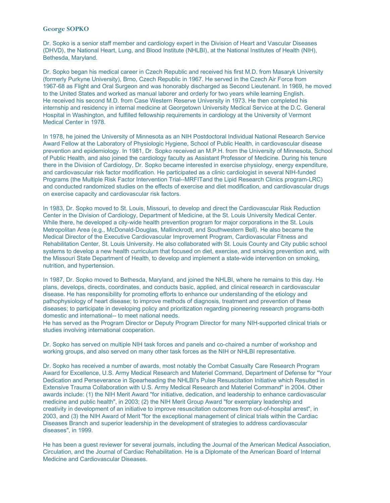# **George SOPKO**

Dr. Sopko is a senior staff member and cardiology expert in the Division of Heart and Vascular Diseases (DHVD), the National Heart, Lung, and Blood Institute (NHLBI), at the National Institutes of Health (NIH), Bethesda, Maryland.

Dr. Sopko began his medical career in Czech Republic and received his first M.D. from Masaryk University (formerly Purkyne University), Brno, Czech Republic in 1967. He served in the Czech Air Force from 1967-68 as Flight and Oral Surgeon and was honorably discharged as Second Lieutenant. In 1969, he moved to the United States and worked as manual laborer and orderly for two years while learning English. He received his second M.D. from Case Western Reserve University in 1973. He then completed his internship and residency in internal medicine at Georgetown University Medical Service at the D.C. General Hospital in Washington, and fulfilled fellowship requirements in cardiology at the University of Vermont Medical Center in 1978.

In 1978, he joined the University of Minnesota as an NIH Postdoctoral Individual National Research Service Award Fellow at the Laboratory of Physiologic Hygiene, School of Public Health, in cardiovascular disease prevention and epidemiology. In 1981, Dr. Sopko received an M.P.H. from the University of Minnesota, School of Public Health, and also joined the cardiology faculty as Assistant Professor of Medicine. During his tenure there in the Division of Cardiology, Dr. Sopko became interested in exercise physiology, energy expenditure, and cardiovascular risk factor modification. He participated as a clinic cardiologist in several NIH-funded Programs (the Multiple Risk Factor Intervention Trial--MRFITand the Lipid Research Clinics program-LRC) and conducted randomized studies on the effects of exercise and diet modification, and cardiovascular drugs on exercise capacity and cardiovascular risk factors.

In 1983, Dr. Sopko moved to St. Louis, Missouri, to develop and direct the Cardiovascular Risk Reduction Center in the Division of Cardiology, Department of Medicine, at the St. Louis University Medical Center. While there, he developed a city-wide health prevention program for major corporations in the St. Louis Metropolitan Area (e.g., McDonald-Douglas, Mallinckrodt, and Southwestern Bell). He also became the Medical Director of the Executive Cardiovascular Improvement Program, Cardiovascular Fitness and Rehabilitation Center, St. Louis University. He also collaborated with St. Louis County and City public school systems to develop a new health curriculum that focused on diet, exercise, and smoking prevention and, with the Missouri State Department of Health, to develop and implement a state-wide intervention on smoking, nutrition, and hypertension.

In 1987, Dr. Sopko moved to Bethesda, Maryland, and joined the NHLBI, where he remains to this day. He plans, develops, directs, coordinates, and conducts basic, applied, and clinical research in cardiovascular disease. He has responsibility for promoting efforts to enhance our understanding of the etiology and pathophysiology of heart disease; to improve methods of diagnosis, treatment and prevention of these diseases; to participate in developing policy and prioritization regarding pioneering research programs-both domestic and international-- to meet national needs.

He has served as the Program Director or Deputy Program Director for many NIH-supported clinical trials or studies involving international cooperation.

Dr. Sopko has served on multiple NIH task forces and panels and co-chaired a number of workshop and working groups, and also served on many other task forces as the NIH or NHLBI representative.

Dr. Sopko has received a number of awards, most notably the Combat Casualty Care Research Program Award for Excellence, U.S. Army Medical Research and Materiel Command, Department of Defense for "Your Dedication and Perseverance in Spearheading the NHLBI's Pulse Resuscitation Initiative which Resulted in Extensive Trauma Collaboration with U.S. Army Medical Research and Materiel Command" in 2004. Other awards include: (1) the NIH Merit Award "for initiative, dedication, and leadership to enhance cardiovascular medicine and public health", in 2003; (2) the NIH Merit Group Award "for exemplary leadership and creativity in development of an initiative to improve resuscitation outcomes from out-of-hospital arrest", in 2003, and (3) the NIH Award of Merit "for the exceptional management of clinical trials within the Cardiac Diseases Branch and superior leadership in the development of strategies to address cardiovascular diseases", in 1999.

He has been a guest reviewer for several journals, including the Journal of the American Medical Association, Circulation, and the Journal of Cardiac Rehabilitation. He is a Diplomate of the American Board of Internal Medicine and Cardiovascular Diseases.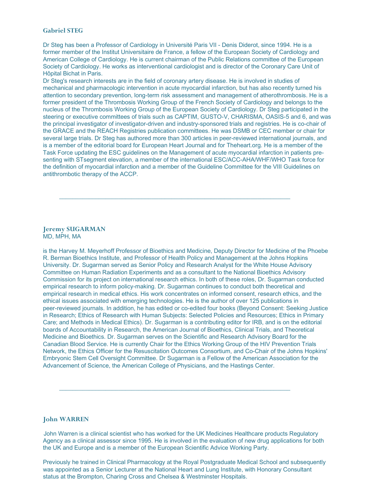# **Gabriel STEG**

Dr Steg has been a Professor of Cardiology in Université Paris VII - Denis Diderot, since 1994. He is a former member of the Institut Universitaire de France, a fellow of the European Society of Cardiology and American College of Cardiology. He is current chairman of the Public Relations committee of the European Society of Cardiology. He works as interventional cardiologist and is director of the Coronary Care Unit of Hôpital Bichat in Paris.

Dr Steg's research interests are in the field of coronary artery disease. He is involved in studies of mechanical and pharmacologic intervention in acute myocardial infarction, but has also recently turned his attention to secondary prevention, long-term risk assessment and management of atherothrombosis. He is a former president of the Thrombosis Working Group of the French Society of Cardiology and belongs to the nucleus of the Thrombosis Working Group of the European Society of Cardiology. Dr Steg participated in the steering or executive committees of trials such as CAPTIM, GUSTO-V, CHARISMA, OASIS-5 and 6, and was the principal investigator of investigator-driven and industry-sponsored trials and registries. He is co-chair of the GRACE and the REACH Registries publication committees. He was DSMB or CEC member or chair for several large trials. Dr Steg has authored more than 300 articles in peer-reviewed international journals, and is a member of the editorial board for European Heart Journal and for Theheart.org. He is a member of the Task Force updating the ESC guidelines on the Management of acute myocardial infarction in patients presenting with STsegment elevation, a member of the international ESC/ACC-AHA/WHF/WHO Task force for the definition of myocardial infarction and a member of the Guideline Committee for the VIII Guidelines on antithrombotic therapy of the ACCP.

\_\_\_\_\_\_\_\_\_\_\_\_\_\_\_\_\_\_\_\_\_\_\_\_\_\_\_\_\_\_\_\_\_\_\_\_\_\_\_\_\_\_\_\_\_\_\_\_\_\_\_\_\_\_\_\_\_\_\_\_\_\_\_\_\_\_\_\_\_\_

#### **Jeremy SUGARMAN** MD, MPH, MA

is the Harvey M. Meyerhoff Professor of Bioethics and Medicine, Deputy Director for Medicine of the Phoebe R. Berman Bioethics Institute, and Professor of Health Policy and Management at the Johns Hopkins University. Dr. Sugarman served as Senior Policy and Research Analyst for the White House Advisory Committee on Human Radiation Experiments and as a consultant to the National Bioethics Advisory Commission for its project on international research ethics. In both of these roles, Dr. Sugarman conducted empirical research to inform policy-making. Dr. Sugarman continues to conduct both theoretical and empirical research in medical ethics. His work concentrates on informed consent, research ethics, and the ethical issues associated with emerging technologies. He is the author of over 125 publications in peer-reviewed journals. In addition, he has edited or co-edited four books (Beyond Consent: Seeking Justice in Research; Ethics of Research with Human Subjects: Selected Policies and Resources; Ethics in Primary Care; and Methods in Medical Ethics). Dr. Sugarman is a contributing editor for IRB, and is on the editorial boards of Accountability in Research, the American Journal of Bioethics, Clinical Trials, and Theoretical Medicine and Bioethics. Dr. Sugarman serves on the Scientific and Research Advisory Board for the Canadian Blood Service. He is currently Chair for the Ethics Working Group of the HIV Prevention Trials Network, the Ethics Officer for the Resuscitation Outcomes Consortium, and Co-Chair of the Johns Hopkins' Embryonic Stem Cell Oversight Committee. Dr Sugarman is a Fellow of the American Association for the Advancement of Science, the American College of Physicians, and the Hastings Center.

# **John WARREN**

John Warren is a clinical scientist who has worked for the UK Medicines Healthcare products Regulatory Agency as a clinical assessor since 1995. He is involved in the evaluation of new drug applications for both the UK and Europe and is a member of the European Scientific Advice Working Party.

\_\_\_\_\_\_\_\_\_\_\_\_\_\_\_\_\_\_\_\_\_\_\_\_\_\_\_\_\_\_\_\_\_\_\_\_\_\_\_\_\_\_\_\_\_\_\_\_\_\_\_\_\_\_\_\_\_\_\_\_\_\_\_\_\_\_\_\_\_\_

Previously he trained in Clinical Pharmacology at the Royal Postgraduate Medical School and subsequently was appointed as a Senior Lecturer at the National Heart and Lung Institute, with Honorary Consultant status at the Brompton, Charing Cross and Chelsea & Westminster Hospitals.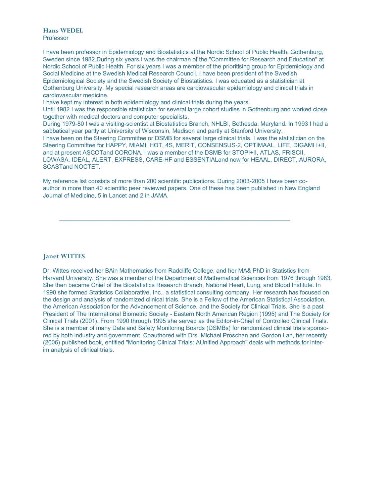# **Hans WEDEL** Professor

I have been professor in Epidemiology and Biostatistics at the Nordic School of Public Health, Gothenburg, Sweden since 1982.During six years I was the chairman of the "Committee for Research and Education" at Nordic School of Public Health. For six years I was a member of the prioritising group for Epidemiology and Social Medicine at the Swedish Medical Research Council. I have been president of the Swedish Epidemiological Society and the Swedish Society of Biostatistics. I was educated as a statistician at Gothenburg University. My special research areas are cardiovascular epidemiology and clinical trials in cardiovascular medicine.

I have kept my interest in both epidemiology and clinical trials during the years.

Until 1982 I was the responsible statistician for several large cohort studies in Gothenburg and worked close together with medical doctors and computer specialists.

During 1979-80 I was a visiting-scientist at Biostatistics Branch, NHLBI, Bethesda, Maryland. In 1993 I had a sabbatical year partly at University of Wisconsin, Madison and partly at Stanford University.

I have been on the Steering Committee or DSMB for several large clinical trials. I was the statistician on the Steering Committee for HAPPY, MIAMI, HOT, 4S, MERIT, CONSENSUS-2, OPTIMAAL, LIFE, DIGAMI I+II, and at present ASCOTand CORONA. I was a member of the DSMB for STOPI+II, ATLAS, FRISCII, LOWASA, IDEAL, ALERT, EXPRESS, CARE-HF and ESSENTIALand now for HEAAL, DIRECT, AURORA, SCASTand NOCTET.

My reference list consists of more than 200 scientific publications. During 2003-2005 I have been coauthor in more than 40 scientific peer reviewed papers. One of these has been published in New England Journal of Medicine, 5 in Lancet and 2 in JAMA.

\_\_\_\_\_\_\_\_\_\_\_\_\_\_\_\_\_\_\_\_\_\_\_\_\_\_\_\_\_\_\_\_\_\_\_\_\_\_\_\_\_\_\_\_\_\_\_\_\_\_\_\_\_\_\_\_\_\_\_\_\_\_\_\_\_\_\_\_\_\_

# **Janet WITTES**

Dr. Wittes received her BAin Mathematics from Radcliffe College, and her MA& PhD in Statistics from Harvard University. She was a member of the Department of Mathematical Sciences from 1976 through 1983. She then became Chief of the Biostatistics Research Branch, National Heart, Lung, and Blood Institute. In 1990 she formed Statistics Collaborative, Inc., a statistical consulting company. Her research has focused on the design and analysis of randomized clinical trials. She is a Fellow of the American Statistical Association, the American Association for the Advancement of Science, and the Society for Clinical Trials. She is a past President of The International Biometric Society - Eastern North American Region (1995) and The Society for Clinical Trials (2001). From 1990 through 1995 she served as the Editor-in-Chief of Controlled Clinical Trials. She is a member of many Data and Safety Monitoring Boards (DSMBs) for randomized clinical trials sponsored by both industry and government. Coauthored with Drs. Michael Proschan and Gordon Lan, her recently (2006) published book, entitled "Monitoring Clinical Trials: AUnified Approach" deals with methods for interim analysis of clinical trials.